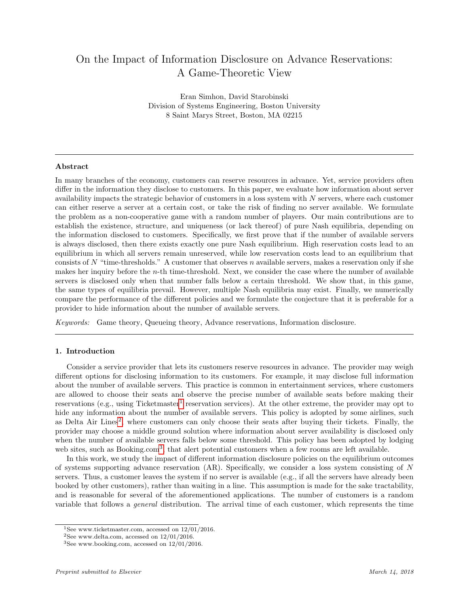# On the Impact of Information Disclosure on Advance Reservations: A Game-Theoretic View

Eran Simhon, David Starobinski Division of Systems Engineering, Boston University 8 Saint Marys Street, Boston, MA 02215

# Abstract

In many branches of the economy, customers can reserve resources in advance. Yet, service providers often differ in the information they disclose to customers. In this paper, we evaluate how information about server availability impacts the strategic behavior of customers in a loss system with  $N$  servers, where each customer can either reserve a server at a certain cost, or take the risk of finding no server available. We formulate the problem as a non-cooperative game with a random number of players. Our main contributions are to establish the existence, structure, and uniqueness (or lack thereof) of pure Nash equilibria, depending on the information disclosed to customers. Specifically, we first prove that if the number of available servers is always disclosed, then there exists exactly one pure Nash equilibrium. High reservation costs lead to an equilibrium in which all servers remain unreserved, while low reservation costs lead to an equilibrium that consists of  $N$  "time-thresholds." A customer that observes n available servers, makes a reservation only if she makes her inquiry before the n-th time-threshold. Next, we consider the case where the number of available servers is disclosed only when that number falls below a certain threshold. We show that, in this game, the same types of equilibria prevail. However, multiple Nash equilibria may exist. Finally, we numerically compare the performance of the different policies and we formulate the conjecture that it is preferable for a provider to hide information about the number of available servers.

Keywords: Game theory, Queueing theory, Advance reservations, Information disclosure.

#### 1. Introduction

Consider a service provider that lets its customers reserve resources in advance. The provider may weigh different options for disclosing information to its customers. For example, it may disclose full information about the number of available servers. This practice is common in entertainment services, where customers are allowed to choose their seats and observe the precise number of available seats before making their reservations (e.g., using Ticketmaster<sup>[1](#page-0-0)</sup> reservation services). At the other extreme, the provider may opt to hide any information about the number of available servers. This policy is adopted by some airlines, such as Delta Air Lines<sup>[2](#page-0-1)</sup>, where customers can only choose their seats after buying their tickets. Finally, the provider may choose a middle ground solution where information about server availability is disclosed only when the number of available servers falls below some threshold. This policy has been adopted by lodging web sites, such as Booking.com<sup>[3](#page-0-2)</sup>, that alert potential customers when a few rooms are left available.

In this work, we study the impact of different information disclosure policies on the equilibrium outcomes of systems supporting advance reservation (AR). Specifically, we consider a loss system consisting of N servers. Thus, a customer leaves the system if no server is available (e.g., if all the servers have already been booked by other customers), rather than waiting in a line. This assumption is made for the sake tractability, and is reasonable for several of the aforementioned applications. The number of customers is a random variable that follows a general distribution. The arrival time of each customer, which represents the time

<span id="page-0-0"></span><sup>&</sup>lt;sup>1</sup>See www.ticketmaster.com, accessed on  $12/01/2016$ .

<span id="page-0-1"></span><sup>&</sup>lt;sup>2</sup>See www.delta.com, accessed on  $12/01/2016$ .

<span id="page-0-2"></span><sup>3</sup>See www.booking.com, accessed on 12/01/2016.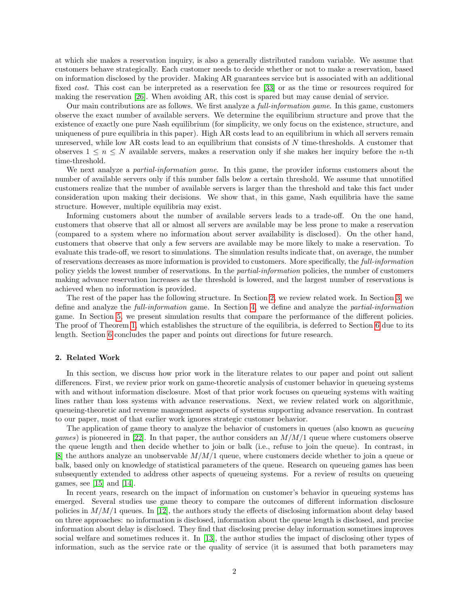at which she makes a reservation inquiry, is also a generally distributed random variable. We assume that customers behave strategically. Each customer needs to decide whether or not to make a reservation, based on information disclosed by the provider. Making AR guarantees service but is associated with an additional fixed cost. This cost can be interpreted as a reservation fee [\[33\]](#page-17-0) or as the time or resources required for making the reservation [\[26\]](#page-17-1). When avoiding AR, this cost is spared but may cause denial of service.

Our main contributions are as follows. We first analyze a full-information game. In this game, customers observe the exact number of available servers. We determine the equilibrium structure and prove that the existence of exactly one pure Nash equilibrium (for simplicity, we only focus on the existence, structure, and uniqueness of pure equilibria in this paper). High AR costs lead to an equilibrium in which all servers remain unreserved, while low AR costs lead to an equilibrium that consists of  $N$  time-thresholds. A customer that observes  $1 \leq n \leq N$  available servers, makes a reservation only if she makes her inquiry before the *n*-th time-threshold.

We next analyze a *partial-information game*. In this game, the provider informs customers about the number of available servers only if this number falls below a certain threshold. We assume that unnotified customers realize that the number of available servers is larger than the threshold and take this fact under consideration upon making their decisions. We show that, in this game, Nash equilibria have the same structure. However, multiple equilibria may exist.

Informing customers about the number of available servers leads to a trade-off. On the one hand, customers that observe that all or almost all servers are available may be less prone to make a reservation (compared to a system where no information about server availability is disclosed). On the other hand, customers that observe that only a few servers are available may be more likely to make a reservation. To evaluate this trade-off, we resort to simulations. The simulation results indicate that, on average, the number of reservations decreases as more information is provided to customers. More specifically, the full-information policy yields the lowest number of reservations. In the partial-information policies, the number of customers making advance reservation increases as the threshold is lowered, and the largest number of reservations is achieved when no information is provided.

The rest of the paper has the following structure. In Section [2,](#page-1-0) we review related work. In Section [3,](#page-2-0) we define and analyze the full-information game. In Section [4,](#page-10-0) we define and analyze the partial-information game. In Section [5,](#page-12-0) we present simulation results that compare the performance of the different policies. The proof of Theorem [1,](#page-4-0) which establishes the structure of the equilibria, is deferred to Section [6](#page-19-0) due to its length. Section [6](#page-14-0) concludes the paper and points out directions for future research.

# <span id="page-1-0"></span>2. Related Work

In this section, we discuss how prior work in the literature relates to our paper and point out salient differences. First, we review prior work on game-theoretic analysis of customer behavior in queueing systems with and without information disclosure. Most of that prior work focuses on queueing systems with waiting lines rather than loss systems with advance reservations. Next, we review related work on algorithmic, queueing-theoretic and revenue management aspects of systems supporting advance reservation. In contrast to our paper, most of that earlier work ignores strategic customer behavior.

The application of game theory to analyze the behavior of customers in queues (also known as queueing games) is pioneered in [\[22\]](#page-17-2). In that paper, the author considers an  $M/M/1$  queue where customers observe the queue length and then decide whether to join or balk (i.e., refuse to join the queue). In contrast, in  $[8]$  the authors analyze an unobservable  $M/M/1$  queue, where customers decide whether to join a queue or balk, based only on knowledge of statistical parameters of the queue. Research on queueing games has been subsequently extended to address other aspects of queueing systems. For a review of results on queueing games, see  $[15]$  and  $[14]$ .

In recent years, research on the impact of information on customer's behavior in queueing systems has emerged. Several studies use game theory to compare the outcomes of different information disclosure policies in  $M/M/1$  queues. In [\[12\]](#page-16-3), the authors study the effects of disclosing information about delay based on three approaches: no information is disclosed, information about the queue length is disclosed, and precise information about delay is disclosed. They find that disclosing precise delay information sometimes improves social welfare and sometimes reduces it. In [\[13\]](#page-16-4), the author studies the impact of disclosing other types of information, such as the service rate or the quality of service (it is assumed that both parameters may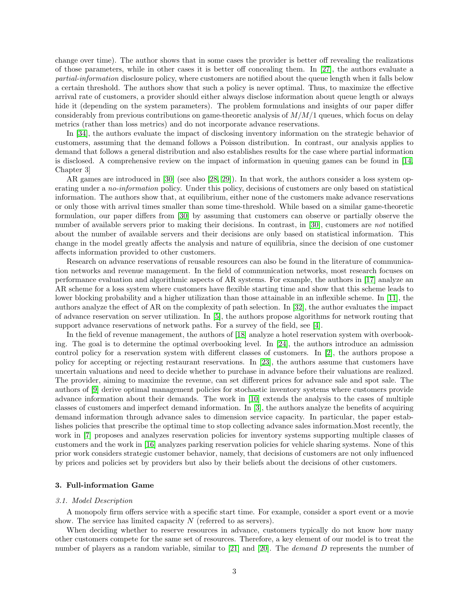change over time). The author shows that in some cases the provider is better off revealing the realizations of those parameters, while in other cases it is better off concealing them. In [\[27\]](#page-17-3), the authors evaluate a partial-information disclosure policy, where customers are notified about the queue length when it falls below a certain threshold. The authors show that such a policy is never optimal. Thus, to maximize the effective arrival rate of customers, a provider should either always disclose information about queue length or always hide it (depending on the system parameters). The problem formulations and insights of our paper differ considerably from previous contributions on game-theoretic analysis of  $M/M/1$  queues, which focus on delay metrics (rather than loss metrics) and do not incorporate advance reservations.

In [\[34\]](#page-17-4), the authors evaluate the impact of disclosing inventory information on the strategic behavior of customers, assuming that the demand follows a Poisson distribution. In contrast, our analysis applies to demand that follows a general distribution and also establishes results for the case where partial information is disclosed. A comprehensive review on the impact of information in queuing games can be found in [\[14,](#page-16-2) Chapter 3]

AR games are introduced in [\[30\]](#page-17-5) (see also [\[28,](#page-17-6) [29\]](#page-17-7)). In that work, the authors consider a loss system operating under a no-information policy. Under this policy, decisions of customers are only based on statistical information. The authors show that, at equilibrium, either none of the customers make advance reservations or only those with arrival times smaller than some time-threshold. While based on a similar game-theoretic formulation, our paper differs from [\[30\]](#page-17-5) by assuming that customers can observe or partially observe the number of available servers prior to making their decisions. In contrast, in [\[30\]](#page-17-5), customers are *not* notified about the number of available servers and their decisions are only based on statistical information. This change in the model greatly affects the analysis and nature of equilibria, since the decision of one customer affects information provided to other customers.

Research on advance reservations of reusable resources can also be found in the literature of communication networks and revenue management. In the field of communication networks, most research focuses on performance evaluation and algorithmic aspects of AR systems. For example, the authors in [\[17\]](#page-16-5) analyze an AR scheme for a loss system where customers have flexible starting time and show that this scheme leads to lower blocking probability and a higher utilization than those attainable in an inflexible scheme. In [\[11\]](#page-16-6), the authors analyze the effect of AR on the complexity of path selection. In [\[32\]](#page-17-8), the author evaluates the impact of advance reservation on server utilization. In [\[5\]](#page-16-7), the authors propose algorithms for network routing that support advance reservations of network paths. For a survey of the field, see [\[4\]](#page-16-8).

In the field of revenue management, the authors of [\[18\]](#page-16-9) analyze a hotel reservation system with overbooking. The goal is to determine the optimal overbooking level. In [\[24\]](#page-17-9), the authors introduce an admission control policy for a reservation system with different classes of customers. In [\[2\]](#page-16-10), the authors propose a policy for accepting or rejecting restaurant reservations. In [\[23\]](#page-17-10), the authors assume that customers have uncertain valuations and need to decide whether to purchase in advance before their valuations are realized. The provider, aiming to maximize the revenue, can set different prices for advance sale and spot sale. The authors of [\[9\]](#page-16-11) derive optimal management policies for stochastic inventory systems where customers provide advance information about their demands. The work in [\[10\]](#page-16-12) extends the analysis to the cases of multiple classes of customers and imperfect demand information. In [\[3\]](#page-16-13), the authors analyze the benefits of acquiring demand information through advance sales to dimension service capacity. In particular, the paper establishes policies that prescribe the optimal time to stop collecting advance sales information.Most recently, the work in [\[7\]](#page-16-14) proposes and analyzes reservation policies for inventory systems supporting multiple classes of customers and the work in [\[16\]](#page-16-15) analyzes parking reservation policies for vehicle sharing systems. None of this prior work considers strategic customer behavior, namely, that decisions of customers are not only influenced by prices and policies set by providers but also by their beliefs about the decisions of other customers.

# <span id="page-2-0"></span>3. Full-information Game

# 3.1. Model Description

A monopoly firm offers service with a specific start time. For example, consider a sport event or a movie show. The service has limited capacity  $N$  (referred to as servers).

When deciding whether to reserve resources in advance, customers typically do not know how many other customers compete for the same set of resources. Therefore, a key element of our model is to treat the number of players as a random variable, similar to [\[21\]](#page-17-11) and [\[20\]](#page-16-16). The *demand D* represents the number of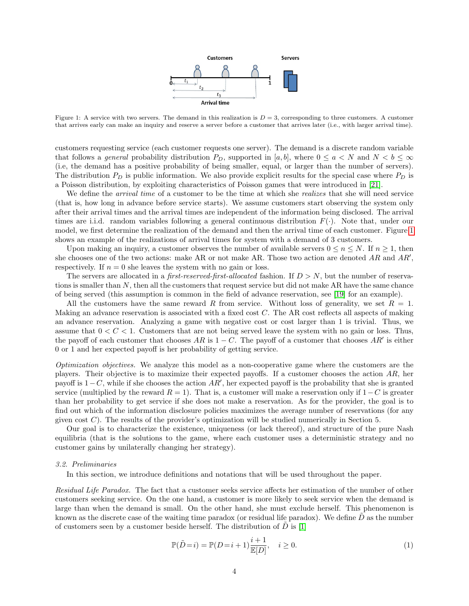

<span id="page-3-0"></span>Figure 1: A service with two servers. The demand in this realization is  $D = 3$ , corresponding to three customers. A customer that arrives early can make an inquiry and reserve a server before a customer that arrives later (i.e., with larger arrival time).

customers requesting service (each customer requests one server). The demand is a discrete random variable that follows a *general* probability distribution  $P_D$ , supported in [a, b], where  $0 \le a < N$  and  $N < b \le \infty$ (i.e, the demand has a positive probability of being smaller, equal, or larger than the number of servers). The distribution  $P_D$  is public information. We also provide explicit results for the special case where  $P_D$  is a Poisson distribution, by exploiting characteristics of Poisson games that were introduced in [\[21\]](#page-17-11).

We define the *arrival time* of a customer to be the time at which she *realizes* that she will need service (that is, how long in advance before service starts). We assume customers start observing the system only after their arrival times and the arrival times are independent of the information being disclosed. The arrival times are i.i.d. random variables following a general continuous distribution  $F(\cdot)$ . Note that, under our model, we first determine the realization of the demand and then the arrival time of each customer. Figure [1](#page-3-0) shows an example of the realizations of arrival times for system with a demand of 3 customers.

Upon making an inquiry, a customer observes the number of available servers  $0 \le n \le N$ . If  $n \ge 1$ , then she chooses one of the two actions: make AR or not make AR. Those two action are denoted  $AR$  and  $AR'$ , respectively. If  $n = 0$  she leaves the system with no gain or loss.

The servers are allocated in a *first-reserved-first-allocated* fashion. If  $D > N$ , but the number of reservations is smaller than N, then all the customers that request service but did not make AR have the same chance of being served (this assumption is common in the field of advance reservation, see [\[19\]](#page-16-17) for an example).

All the customers have the same reward R from service. Without loss of generality, we set  $R = 1$ . Making an advance reservation is associated with a fixed cost C. The AR cost reflects all aspects of making an advance reservation. Analyzing a game with negative cost or cost larger than 1 is trivial. Thus, we assume that  $0 < C < 1$ . Customers that are not being served leave the system with no gain or loss. Thus, the payoff of each customer that chooses AR is  $1 - C$ . The payoff of a customer that chooses AR' is either 0 or 1 and her expected payoff is her probability of getting service.

Optimization objectives. We analyze this model as a non-cooperative game where the customers are the players. Their objective is to maximize their expected payoffs. If a customer chooses the action AR, her payoff is  $1-C$ , while if she chooses the action  $AR'$ , her expected payoff is the probability that she is granted service (multiplied by the reward  $R = 1$ ). That is, a customer will make a reservation only if  $1 - C$  is greater than her probability to get service if she does not make a reservation. As for the provider, the goal is to find out which of the information disclosure policies maximizes the average number of reservations (for any given cost  $C$ ). The results of the provider's optimization will be studied numerically in Section 5.

Our goal is to characterize the existence, uniqueness (or lack thereof), and structure of the pure Nash equilibria (that is the solutions to the game, where each customer uses a deterministic strategy and no customer gains by unilaterally changing her strategy).

#### 3.2. Preliminaries

In this section, we introduce definitions and notations that will be used throughout the paper.

Residual Life Paradox. The fact that a customer seeks service affects her estimation of the number of other customers seeking service. On the one hand, a customer is more likely to seek service when the demand is large than when the demand is small. On the other hand, she must exclude herself. This phenomenon is known as the discrete case of the waiting time paradox (or residual life paradox). We define  $\ddot{D}$  as the number of customers seen by a customer beside herself. The distribution of  $D$  is [\[1\]](#page-16-18)

<span id="page-3-1"></span>
$$
\mathbb{P}(\tilde{D}=i) = \mathbb{P}(D=i+1)\frac{i+1}{\mathbb{E}[D]}, \quad i \ge 0.
$$
\n
$$
(1)
$$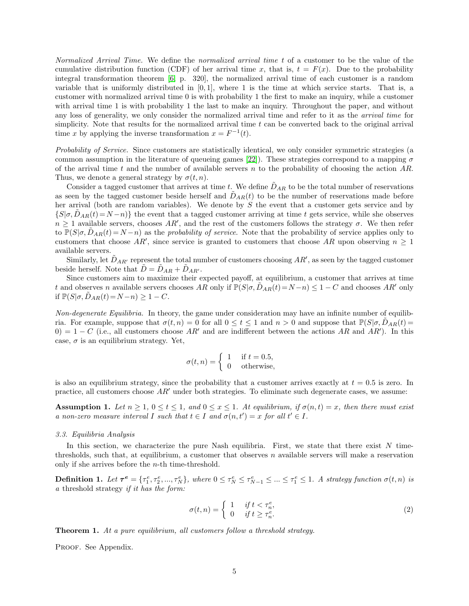Normalized Arrival Time. We define the normalized arrival time t of a customer to be the value of the cumulative distribution function (CDF) of her arrival time x, that is,  $t = F(x)$ . Due to the probability integral transformation theorem [\[6,](#page-16-19) p. 320], the normalized arrival time of each customer is a random variable that is uniformly distributed in  $[0, 1]$ , where 1 is the time at which service starts. That is, a customer with normalized arrival time 0 is with probability 1 the first to make an inquiry, while a customer with arrival time 1 is with probability 1 the last to make an inquiry. Throughout the paper, and without any loss of generality, we only consider the normalized arrival time and refer to it as the arrival time for simplicity. Note that results for the normalized arrival time t can be converted back to the original arrival time x by applying the inverse transformation  $x = F^{-1}(t)$ .

Probability of Service. Since customers are statistically identical, we only consider symmetric strategies (a common assumption in the literature of queueing games [\[22\]](#page-17-2)). These strategies correspond to a mapping  $\sigma$ of the arrival time t and the number of available servers n to the probability of choosing the action  $AR$ . Thus, we denote a general strategy by  $\sigma(t, n)$ .

Consider a tagged customer that arrives at time t. We define  $\tilde{D}_{AR}$  to be the total number of reservations as seen by the tagged customer beside herself and  $D_{AR}(t)$  to be the number of reservations made before her arrival (both are random variables). We denote by S the event that a customer gets service and by  $\{S|\sigma, \tilde{D}_{AR}(t)=N-n\}$  the event that a tagged customer arriving at time t gets service, while she observes  $n \geq 1$  available servers, chooses AR', and the rest of the customers follows the strategy  $\sigma$ . We then refer to  $\mathbb{P}(S|\sigma, D_{AR}(t) = N-n)$  as the probability of service. Note that the probability of service applies only to customers that choose  $AR'$ , since service is granted to customers that choose AR upon observing  $n \geq 1$ available servers.

Similarly, let  $\tilde{D}_{AR'}$  represent the total number of customers choosing  $AR'$ , as seen by the tagged customer beside herself. Note that  $\ddot{D} = \ddot{D}_{AR} + \ddot{D}_{AR'}$ .

Since customers aim to maximize their expected payoff, at equilibrium, a customer that arrives at time t and observes n available servers chooses AR only if  $\mathbb{P}(S|\sigma, D_{AR}(t)=N-n) \leq 1-C$  and chooses AR' only if  $\mathbb{P}(S|\sigma, D_{AR}(t)=N-n) \geq 1-C$ .

Non-degenerate Equilibria. In theory, the game under consideration may have an infinite number of equilibria. For example, suppose that  $\sigma(t, n) = 0$  for all  $0 \le t \le 1$  and  $n > 0$  and suppose that  $\mathbb{P}(S|\sigma, \tilde{D}_{AR}(t))$  $0$ ) = 1 – C (i.e., all customers choose AR' and are indifferent between the actions AR and AR'). In this case,  $\sigma$  is an equilibrium strategy. Yet,

$$
\sigma(t, n) = \begin{cases} 1 & \text{if } t = 0.5, \\ 0 & \text{otherwise,} \end{cases}
$$

is also an equilibrium strategy, since the probability that a customer arrives exactly at  $t = 0.5$  is zero. In practice, all customers choose  $AR'$  under both strategies. To eliminate such degenerate cases, we assume:

**Assumption 1.** Let  $n \geq 1$ ,  $0 \leq t \leq 1$ , and  $0 \leq x \leq 1$ . At equilibrium, if  $\sigma(n,t) = x$ , then there must exist a non-zero measure interval I such that  $t \in I$  and  $\sigma(n, t') = x$  for all  $t' \in I$ .

#### 3.3. Equilibria Analysis

In this section, we characterize the pure Nash equilibria. First, we state that there exist  $N$  timethresholds, such that, at equilibrium, a customer that observes  $n$  available servers will make a reservation only if she arrives before the  $n$ -th time-threshold.

**Definition 1.** Let  $\tau^e = {\tau_1^e, \tau_2^e, ..., \tau_N^e}$ , where  $0 \leq \tau_N^e \leq \tau_{N-1}^e \leq ... \leq \tau_1^e \leq 1$ . A strategy function  $\sigma(t, n)$  is a threshold strategy if it has the form:

$$
\sigma(t,n) = \begin{cases} 1 & \text{if } t < \tau_n^e, \\ 0 & \text{if } t \ge \tau_n^e. \end{cases} \tag{2}
$$

<span id="page-4-0"></span>**Theorem 1.** At a pure equilibrium, all customers follow a threshold strategy.

PROOF. See Appendix.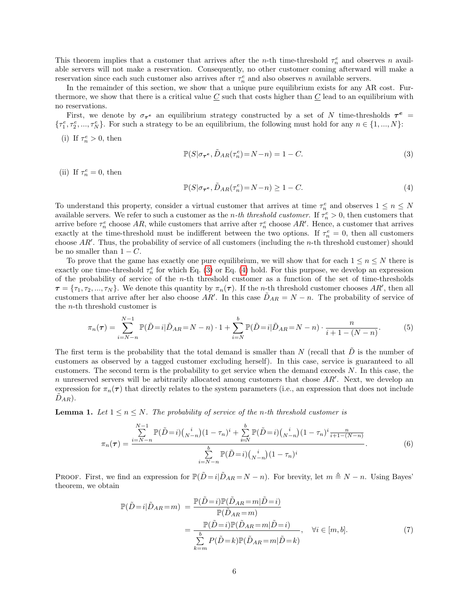This theorem implies that a customer that arrives after the *n*-th time-threshold  $\tau_n^e$  and observes *n* available servers will not make a reservation. Consequently, no other customer coming afterward will make a reservation since each such customer also arrives after  $\tau_n^e$  and also observes n available servers.

In the remainder of this section, we show that a unique pure equilibrium exists for any AR cost. Furthermore, we show that there is a critical value  $C$  such that costs higher than  $C$  lead to an equilibrium with no reservations.

First, we denote by  $\sigma_{\tau^e}$  an equilibrium strategy constructed by a set of N time-thresholds  $\tau^e$  =  $\{\tau_1^e, \tau_2^e, ..., \tau_N^e\}$ . For such a strategy to be an equilibrium, the following must hold for any  $n \in \{1, ..., N\}$ :

(i) If  $\tau_n^e > 0$ , then

<span id="page-5-0"></span>
$$
\mathbb{P}(S|\sigma_{\tau^e}, \tilde{D}_{AR}(\tau_n^e) = N - n) = 1 - C.
$$
\n(3)

(ii) If  $\tau_n^e = 0$ , then

<span id="page-5-3"></span><span id="page-5-1"></span>
$$
\mathbb{P}(S|\sigma_{\tau^e}, \tilde{D}_{AR}(\tau_n^e) = N - n) \ge 1 - C. \tag{4}
$$

To understand this property, consider a virtual customer that arrives at time  $\tau_n^e$  and observes  $1 \leq n \leq N$ available servers. We refer to such a customer as the *n*-th threshold customer. If  $\tau_n^e > 0$ , then customers that arrive before  $\tau_n^e$  choose AR, while customers that arrive after  $\tau_n^e$  choose AR'. Hence, a customer that arrives exactly at the time-threshold must be indifferent between the two options. If  $\tau_n^e = 0$ , then all customers choose  $AR'$ . Thus, the probability of service of all customers (including the n-th threshold customer) should be no smaller than  $1 - C$ .

To prove that the game has exactly one pure equilibrium, we will show that for each  $1 \leq n \leq N$  there is exactly one time-threshold  $\tau_n^e$  for which Eq. [\(3\)](#page-5-0) or Eq. [\(4\)](#page-5-1) hold. For this purpose, we develop an expression of the probability of service of the  $n$ -th threshold customer as a function of the set of time-thresholds  $\tau = {\tau_1, \tau_2, ..., \tau_N}$ . We denote this quantity by  $\pi_n(\tau)$ . If the *n*-th threshold customer chooses AR', then all customers that arrive after her also choose  $AR'$ . In this case  $\tilde{D}_{AR} = N - n$ . The probability of service of the n-th threshold customer is

$$
\pi_n(\tau) = \sum_{i=N-n}^{N-1} \mathbb{P}(\tilde{D} = i | \tilde{D}_{AR} = N - n) \cdot 1 + \sum_{i=N}^{b} \mathbb{P}(\tilde{D} = i | \tilde{D}_{AR} = N - n) \cdot \frac{n}{i+1 - (N-n)}.
$$
(5)

The first term is the probability that the total demand is smaller than  $N$  (recall that  $D$  is the number of customers as observed by a tagged customer excluding herself). In this case, service is guaranteed to all customers. The second term is the probability to get service when the demand exceeds N. In this case, the n unreserved servers will be arbitrarily allocated among customers that chose  $AR'$ . Next, we develop an expression for  $\pi_n(\tau)$  that directly relates to the system parameters (i.e., an expression that does not include  $D_{AR}$ ).

<span id="page-5-5"></span>**Lemma 1.** Let  $1 \leq n \leq N$ . The probability of service of the n-th threshold customer is

$$
\pi_n(\tau) = \frac{\sum_{i=N-n}^{N-1} \mathbb{P}(\tilde{D}=i) \binom{i}{N-n} (1-\tau_n)^i + \sum_{i=N}^{b} \mathbb{P}(\tilde{D}=i) \binom{i}{N-n} (1-\tau_n)^i \frac{n}{i+1-(N-n)}}{\sum_{i=N-n}^{b} \mathbb{P}(\tilde{D}=i) \binom{i}{N-n} (1-\tau_n)^i}.
$$
(6)

PROOF. First, we find an expression for  $\mathbb{P}(\tilde{D} = i|\tilde{D}_{AR} = N - n)$ . For brevity, let  $m \triangleq N - n$ . Using Bayes' theorem, we obtain

<span id="page-5-4"></span><span id="page-5-2"></span>
$$
\mathbb{P}(\tilde{D}=i|\tilde{D}_{AR}=m) = \frac{\mathbb{P}(\tilde{D}=i)\mathbb{P}(\tilde{D}_{AR}=m|\tilde{D}=i)}{\mathbb{P}(\tilde{D}_{AR}=m)}
$$
  
= 
$$
\frac{\mathbb{P}(\tilde{D}=i)\mathbb{P}(\tilde{D}_{AR}=m|\tilde{D}=i)}{\sum_{k=m}^{b} P(\tilde{D}=k)\mathbb{P}(\tilde{D}_{AR}=m|\tilde{D}=k)}, \quad \forall i \in [m, b].
$$
 (7)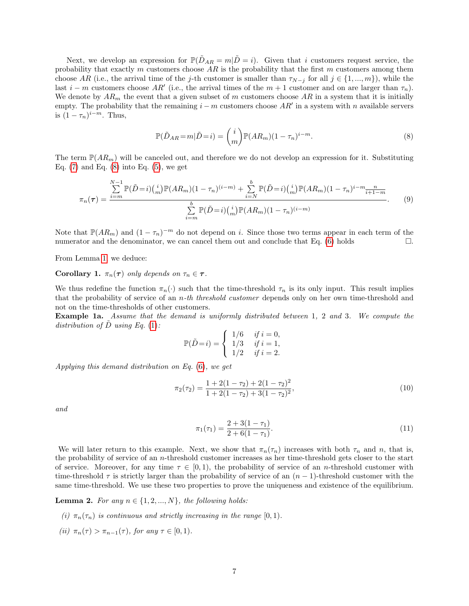Next, we develop an expression for  $\mathbb{P}(\tilde{D}_{AR} = m | \tilde{D} = i)$ . Given that i customers request service, the probability that exactly m customers choose  $AR$  is the probability that the first m customers among them choose AR (i.e., the arrival time of the j-th customer is smaller than  $\tau_{N-j}$  for all  $j \in \{1, ..., m\}$ ), while the last  $i - m$  customers choose  $AR'$  (i.e., the arrival times of the  $m + 1$  customer and on are larger than  $\tau_n$ ). We denote by  $AR_m$  the event that a given subset of m customers choose AR in a system that it is initially empty. The probability that the remaining  $i - m$  customers choose  $AR'$  in a system with n available servers is  $(1 - \tau_n)^{i-m}$ . Thus,

<span id="page-6-1"></span><span id="page-6-0"></span>
$$
\mathbb{P}(\tilde{D}_{AR} = m | \tilde{D} = i) = {i \choose m} \mathbb{P}(AR_m)(1 - \tau_n)^{i - m}.
$$
\n(8)

The term  $P(AR_m)$  will be canceled out, and therefore we do not develop an expression for it. Substituting Eq.  $(7)$  and Eq.  $(8)$  into Eq.  $(5)$ , we get

$$
\pi_n(\tau) = \frac{\sum_{i=m}^{N-1} \mathbb{P}(\tilde{D}=i) \binom{i}{m} \mathbb{P}(AR_m) (1-\tau_n)^{(i-m)} + \sum_{i=N}^{b} \mathbb{P}(\tilde{D}=i) \binom{i}{m} \mathbb{P}(AR_m) (1-\tau_n)^{i-m} \frac{n}{i+1-m}}{\sum_{i=m}^{b} \mathbb{P}(\tilde{D}=i) \binom{i}{m} \mathbb{P}(AR_m) (1-\tau_n)^{(i-m)}}.
$$
(9)

Note that  $\mathbb{P}(AR_m)$  and  $(1 - \tau_n)^{-m}$  do not depend on i. Since those two terms appear in each term of the numerator and the denominator, we can cancel them out and conclude that Eq.  $(6)$  holds  $\Box$ .

From Lemma [1,](#page-5-5) we deduce:

Corollary 1.  $\pi_n(\tau)$  only depends on  $\tau_n \in \tau$ .

We thus redefine the function  $\pi_n(\cdot)$  such that the time-threshold  $\tau_n$  is its only input. This result implies that the probability of service of an n-th threshold customer depends only on her own time-threshold and not on the time-thresholds of other customers.

Example 1a. Assume that the demand is uniformly distributed between 1, 2 and 3. We compute the distribution of  $\ddot{D}$  using Eq. [\(1\)](#page-3-1):

<span id="page-6-2"></span>
$$
\mathbb{P}(\tilde{D}=i) = \begin{cases} 1/6 & \text{if } i = 0, \\ 1/3 & \text{if } i = 1, \\ 1/2 & \text{if } i = 2. \end{cases}
$$

Applying this demand distribution on Eq. [\(6\)](#page-5-4), we get

$$
\pi_2(\tau_2) = \frac{1 + 2(1 - \tau_2) + 2(1 - \tau_2)^2}{1 + 2(1 - \tau_2) + 3(1 - \tau_2)^2},\tag{10}
$$

and

<span id="page-6-4"></span><span id="page-6-3"></span>
$$
\pi_1(\tau_1) = \frac{2 + 3(1 - \tau_1)}{2 + 6(1 - \tau_1)}.
$$
\n(11)

We will later return to this example. Next, we show that  $\pi_n(\tau_n)$  increases with both  $\tau_n$  and n, that is, the probability of service of an n-threshold customer increases as her time-threshold gets closer to the start of service. Moreover, for any time  $\tau \in [0, 1)$ , the probability of service of an *n*-threshold customer with time-threshold  $\tau$  is strictly larger than the probability of service of an  $(n-1)$ -threshold customer with the same time-threshold. We use these two properties to prove the uniqueness and existence of the equilibrium.

**Lemma 2.** For any  $n \in \{1, 2, ..., N\}$ , the following holds:

- (i)  $\pi_n(\tau_n)$  is continuous and strictly increasing in the range [0, 1).
- (ii)  $\pi_n(\tau) > \pi_{n-1}(\tau)$ , for any  $\tau \in [0,1)$ .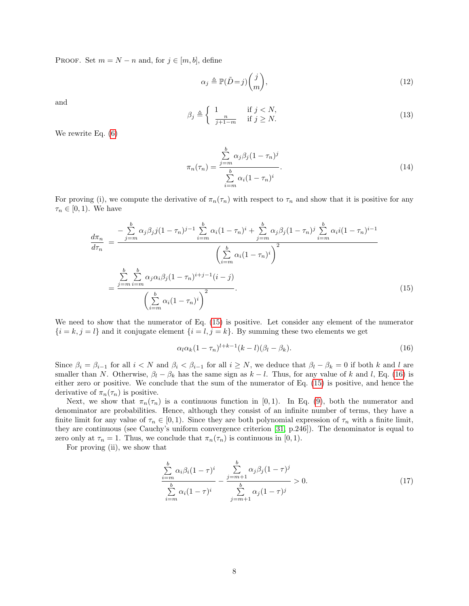PROOF. Set  $m = N - n$  and, for  $j \in [m, b]$ , define

$$
\alpha_j \triangleq \mathbb{P}(\tilde{D}=j) \binom{j}{m},\tag{12}
$$

<span id="page-7-2"></span>and

$$
\beta_j \triangleq \begin{cases} 1 & \text{if } j < N, \\ \frac{n}{j+1-m} & \text{if } j \ge N. \end{cases}
$$
 (13)

We rewrite Eq. [\(6\)](#page-5-4)

$$
\pi_n(\tau_n) = \frac{\sum_{j=m}^b \alpha_j \beta_j (1 - \tau_n)^j}{\sum_{i=m}^b \alpha_i (1 - \tau_n)^i}.
$$
\n(14)

For proving (i), we compute the derivative of  $\pi_n(\tau_n)$  with respect to  $\tau_n$  and show that it is positive for any  $\tau_n \in [0,1)$ . We have

$$
\frac{d\pi_n}{d\tau_n} = \frac{-\sum\limits_{j=m}^{b} \alpha_j \beta_j j (1 - \tau_n)^{j-1} \sum\limits_{i=m}^{b} \alpha_i (1 - \tau_n)^i + \sum\limits_{j=m}^{b} \alpha_j \beta_j (1 - \tau_n)^j \sum\limits_{i=m}^{b} \alpha_i i (1 - \tau_n)^{i-1}}{\left(\sum\limits_{i=m}^{b} \alpha_i (1 - \tau_n)^i\right)^2}
$$
\n
$$
= \frac{\sum\limits_{j=m}^{b} \sum\limits_{i=m}^{b} \alpha_j \alpha_i \beta_j (1 - \tau_n)^{i+j-1} (i - j)}{\left(\sum\limits_{i=m}^{b} \alpha_i (1 - \tau_n)^i\right)^2}.
$$
\n(15)

We need to show that the numerator of Eq. [\(15\)](#page-7-0) is positive. Let consider any element of the numerator  ${i = k, j = l}$  and it conjugate element  ${i = l, j = k}$ . By summing these two elements we get

<span id="page-7-1"></span><span id="page-7-0"></span>
$$
\alpha_l \alpha_k (1 - \tau_n)^{l+k-1} (k-l)(\beta_l - \beta_k). \tag{16}
$$

Since  $\beta_i = \beta_{i-1}$  for all  $i < N$  and  $\beta_i < \beta_{i-1}$  for all  $i \ge N$ , we deduce that  $\beta_l - \beta_k = 0$  if both k and l are smaller than N. Otherwise,  $\beta_l - \beta_k$  has the same sign as  $k - l$ . Thus, for any value of k and l, Eq. [\(16\)](#page-7-1) is either zero or positive. We conclude that the sum of the numerator of Eq. [\(15\)](#page-7-0) is positive, and hence the derivative of  $\pi_n(\tau_n)$  is positive.

Next, we show that  $\pi_n(\tau_n)$  is a continuous function in [0,1]. In Eq. [\(9\)](#page-6-1), both the numerator and denominator are probabilities. Hence, although they consist of an infinite number of terms, they have a finite limit for any value of  $\tau_n \in [0,1)$ . Since they are both polynomial expression of  $\tau_n$  with a finite limit, they are continuous (see Cauchy's uniform convergence criterion [\[31,](#page-17-12) p.246]). The denominator is equal to zero only at  $\tau_n = 1$ . Thus, we conclude that  $\pi_n(\tau_n)$  is continuous in [0, 1).

For proving (ii), we show that

$$
\frac{\sum_{i=m}^{b} \alpha_i \beta_i (1-\tau)^i}{\sum_{i=m}^{b} \alpha_i (1-\tau)^i} - \frac{\sum_{j=m+1}^{b} \alpha_j \beta_j (1-\tau)^j}{\sum_{j=m+1}^{b} \alpha_j (1-\tau)^j} > 0.
$$
\n(17)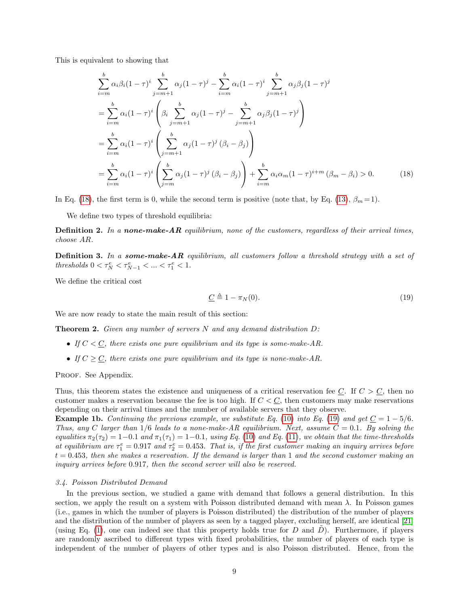This is equivalent to showing that

$$
\sum_{i=m}^{b} \alpha_{i} \beta_{i} (1-\tau)^{i} \sum_{j=m+1}^{b} \alpha_{j} (1-\tau)^{j} - \sum_{i=m}^{b} \alpha_{i} (1-\tau)^{i} \sum_{j=m+1}^{b} \alpha_{j} \beta_{j} (1-\tau)^{j}
$$
\n
$$
= \sum_{i=m}^{b} \alpha_{i} (1-\tau)^{i} \left( \beta_{i} \sum_{j=m+1}^{b} \alpha_{j} (1-\tau)^{j} - \sum_{j=m+1}^{b} \alpha_{j} \beta_{j} (1-\tau)^{j} \right)
$$
\n
$$
= \sum_{i=m}^{b} \alpha_{i} (1-\tau)^{i} \left( \sum_{j=m+1}^{b} \alpha_{j} (1-\tau)^{j} (\beta_{i} - \beta_{j}) \right)
$$
\n
$$
= \sum_{i=m}^{b} \alpha_{i} (1-\tau)^{i} \left( \sum_{j=m}^{b} \alpha_{j} (1-\tau)^{j} (\beta_{i} - \beta_{j}) \right) + \sum_{i=m}^{b} \alpha_{i} \alpha_{m} (1-\tau)^{i+m} (\beta_{m} - \beta_{i}) > 0. \qquad (18)
$$

In Eq. [\(18\)](#page-8-0), the first term is 0, while the second term is positive (note that, by Eq. [\(13\)](#page-7-2),  $\beta_m = 1$ ).

We define two types of threshold equilibria:

**Definition 2.** In a none-make- $AR$  equilibrium, none of the customers, regardless of their arrival times, choose AR.

**Definition 3.** In a some-make-AR equilibrium, all customers follow a threshold strategy with a set of thresholds  $0 < \tau_N^e < \tau_{N-1}^e < ... < \tau_1^e < 1$ .

We define the critical cost

<span id="page-8-2"></span><span id="page-8-1"></span><span id="page-8-0"></span>
$$
\underline{C} \triangleq 1 - \pi_N(0). \tag{19}
$$

We are now ready to state the main result of this section:

**Theorem 2.** Given any number of servers  $N$  and any demand distribution  $D$ :

- If  $C < C$ , there exists one pure equilibrium and its type is some-make-AR.
- If  $C \geq C$ , there exists one pure equilibrium and its type is none-make-AR.

PROOF. See Appendix.

Thus, this theorem states the existence and uniqueness of a critical reservation fee  $C$ . If  $C > C$ , then no customer makes a reservation because the fee is too high. If  $C < C$ , then customers may make reservations depending on their arrival times and the number of available servers that they observe.

**Example 1b.** Continuing the previous example, we substitute Eq. [\(10\)](#page-6-2) into Eq. [\(19\)](#page-8-1) and get  $C = 1 - 5/6$ . Thus, any C larger than  $1/6$  leads to a none-make-AR equilibrium. Next, assume  $C = 0.1$ . By solving the equalities  $\pi_2(\tau_2) = 1-0.1$  and  $\pi_1(\tau_1) = 1-0.1$ , using Eq. [\(10\)](#page-6-2) and Eq. [\(11\)](#page-6-3), we obtain that the time-thresholds at equilibrium are  $\tau_1^e = 0.917$  and  $\tau_2^e = 0.453$ . That is, if the first customer making an inquiry arrives before  $t = 0.453$ , then she makes a reservation. If the demand is larger than 1 and the second customer making an inquiry arrives before 0.917, then the second server will also be reserved.

#### 3.4. Poisson Distributed Demand

In the previous section, we studied a game with demand that follows a general distribution. In this section, we apply the result on a system with Poisson distributed demand with mean  $\lambda$ . In Poisson games (i.e., games in which the number of players is Poisson distributed) the distribution of the number of players and the distribution of the number of players as seen by a tagged player, excluding herself, are identical [\[21\]](#page-17-11) (using Eq. [\(1\)](#page-3-1), one can indeed see that this property holds true for D and  $\ddot{D}$ ). Furthermore, if players are randomly ascribed to different types with fixed probabilities, the number of players of each type is independent of the number of players of other types and is also Poisson distributed. Hence, from the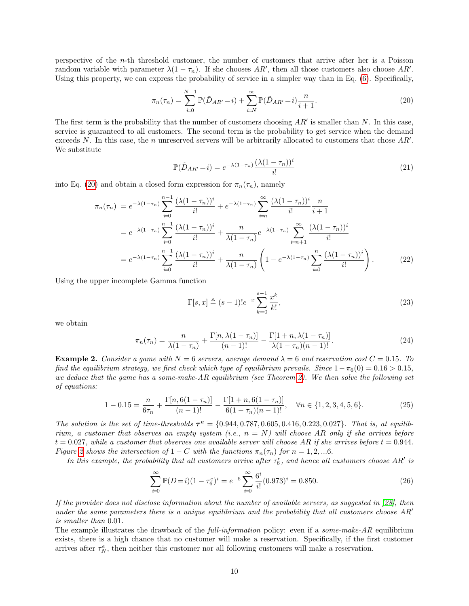perspective of the n-th threshold customer, the number of customers that arrive after her is a Poisson random variable with parameter  $\lambda(1-\tau_n)$ . If she chooses AR', then all those customers also choose AR'. Using this property, we can express the probability of service in a simpler way than in Eq. [\(6\)](#page-5-4). Specifically,

$$
\pi_n(\tau_n) = \sum_{i=0}^{N-1} \mathbb{P}(\tilde{D}_{AR'} = i) + \sum_{i=N}^{\infty} \mathbb{P}(\tilde{D}_{AR'} = i) \frac{n}{i+1}.
$$
\n(20)

The first term is the probability that the number of customers choosing  $AR'$  is smaller than N. In this case, service is guaranteed to all customers. The second term is the probability to get service when the demand exceeds N. In this case, the n unreserved servers will be arbitrarily allocated to customers that chose  $AR'$ . We substitute

<span id="page-9-0"></span>
$$
\mathbb{P}(\tilde{D}_{AR'}=i) = e^{-\lambda(1-\tau_n)} \frac{(\lambda(1-\tau_n))^i}{i!} \tag{21}
$$

into Eq. [\(20\)](#page-9-0) and obtain a closed form expression for  $\pi_n(\tau_n)$ , namely

$$
\pi_n(\tau_n) = e^{-\lambda(1-\tau_n)} \sum_{i=0}^{n-1} \frac{(\lambda(1-\tau_n))^i}{i!} + e^{-\lambda(1-\tau_n)} \sum_{i=n}^{\infty} \frac{(\lambda(1-\tau_n))^i}{i!} \frac{n}{i+1}
$$
  
\n
$$
= e^{-\lambda(1-\tau_n)} \sum_{i=0}^{n-1} \frac{(\lambda(1-\tau_n))^i}{i!} + \frac{n}{\lambda(1-\tau_n)} e^{-\lambda(1-\tau_n)} \sum_{i=n+1}^{\infty} \frac{(\lambda(1-\tau_n))^i}{i!}
$$
  
\n
$$
= e^{-\lambda(1-\tau_n)} \sum_{i=0}^{n-1} \frac{(\lambda(1-\tau_n))^i}{i!} + \frac{n}{\lambda(1-\tau_n)} \left(1 - e^{-\lambda(1-\tau_n)} \sum_{i=0}^n \frac{(\lambda(1-\tau_n))^i}{i!}\right).
$$
 (22)

Using the upper incomplete Gamma function

<span id="page-9-1"></span>
$$
\Gamma[s, x] \triangleq (s-1)! e^{-x} \sum_{k=0}^{s-1} \frac{x^k}{k!},
$$
\n(23)

we obtain

$$
\pi_n(\tau_n) = \frac{n}{\lambda(1 - \tau_n)} + \frac{\Gamma[n, \lambda(1 - \tau_n)]}{(n - 1)!} - \frac{\Gamma[1 + n, \lambda(1 - \tau_n)]}{\lambda(1 - \tau_n)(n - 1)!}.
$$
\n(24)

**Example 2.** Consider a game with  $N = 6$  servers, average demand  $\lambda = 6$  and reservation cost  $C = 0.15$ . To find the equilibrium strategy, we first check which type of equilibrium prevails. Since  $1-\pi_6(0) = 0.16 > 0.15$ , we deduce that the game has a some-make-AR equilibrium (see Theorem [2\)](#page-8-2). We then solve the following set of equations:

$$
1 - 0.15 = \frac{n}{6\tau_n} + \frac{\Gamma[n, 6(1 - \tau_n)]}{(n - 1)!} - \frac{\Gamma[1 + n, 6(1 - \tau_n)]}{6(1 - \tau_n)(n - 1)!}, \quad \forall n \in \{1, 2, 3, 4, 5, 6\}.
$$
 (25)

The solution is the set of time-thresholds  $\tau^e = \{0.944, 0.787, 0.605, 0.416, 0.223, 0.027\}$ . That is, at equilibrium, a customer that observes an empty system (i.e.,  $n = N$ ) will choose AR only if she arrives before  $t = 0.027$ , while a customer that observes one available server will choose AR if she arrives before  $t = 0.944$ . Figure [2](#page-10-1) shows the intersection of  $1 - C$  with the functions  $\pi_n(\tau_n)$  for  $n = 1, 2, ... 6$ .

In this example, the probability that all customers arrive after  $\tau_6^e$ , and hence all customers choose AR' is

$$
\sum_{i=0}^{\infty} \mathbb{P}(D=i)(1-\tau_6^e)^i = e^{-6} \sum_{i=0}^{\infty} \frac{6^i}{i!} (0.973)^i = 0.850.
$$
 (26)

If the provider does not disclose information about the number of available servers, as suggested in [\[28\]](#page-17-6), then under the same parameters there is a unique equilibrium and the probability that all customers choose  $AR<sup>o</sup>$ is smaller than 0.01.

The example illustrates the drawback of the *full-information* policy: even if a *some-make-AR* equilibrium exists, there is a high chance that no customer will make a reservation. Specifically, if the first customer arrives after  $\tau_N^e$ , then neither this customer nor all following customers will make a reservation.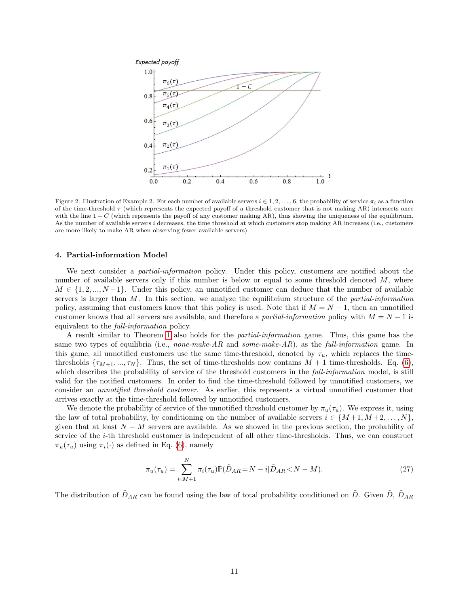<span id="page-10-1"></span>

Figure 2: Illustration of Example 2. For each number of available servers  $i \in 1, 2, \ldots, 6$ , the probability of service  $\pi_i$  as a function of the time-threshold  $\tau$  (which represents the expected payoff of a threshold customer that is not making AR) intersects once with the line  $1 - C$  (which represents the payoff of any customer making AR), thus showing the uniqueness of the equilibrium. As the number of available servers i decreases, the time threshold at which customers stop making AR increases (i.e., customers are more likely to make AR when observing fewer available servers).

#### <span id="page-10-0"></span>4. Partial-information Model

We next consider a *partial-information* policy. Under this policy, customers are notified about the number of available servers only if this number is below or equal to some threshold denoted  $M$ , where  $M \in \{1, 2, ..., N-1\}$ . Under this policy, an unnotified customer can deduce that the number of available servers is larger than M. In this section, we analyze the equilibrium structure of the *partial-information* policy, assuming that customers know that this policy is used. Note that if  $M = N - 1$ , then an unnotified customer knows that all servers are available, and therefore a *partial-information* policy with  $M = N - 1$  is equivalent to the full-information policy.

A result similar to Theorem [1](#page-4-0) also holds for the partial-information game. Thus, this game has the same two types of equilibria (i.e., *none-make-AR* and *some-make-AR*), as the *full-information* game. In this game, all unnotified customers use the same time-threshold, denoted by  $\tau_u$ , which replaces the timethresholds  $\{\tau_{M+1},...,\tau_N\}$ . Thus, the set of time-thresholds now contains  $M+1$  time-thresholds. Eq. [\(6\)](#page-5-4), which describes the probability of service of the threshold customers in the *full-information* model, is still valid for the notified customers. In order to find the time-threshold followed by unnotified customers, we consider an unnotified threshold customer. As earlier, this represents a virtual unnotified customer that arrives exactly at the time-threshold followed by unnotified customers.

We denote the probability of service of the unnotified threshold customer by  $\pi_u(\tau_u)$ . We express it, using the law of total probability, by conditioning on the number of available servers  $i \in \{M+1, M+2, \ldots, N\}$ , given that at least  $N - M$  servers are available. As we showed in the previous section, the probability of service of the i-th threshold customer is independent of all other time-thresholds. Thus, we can construct  $\pi_u(\tau_u)$  using  $\pi_i(\cdot)$  as defined in Eq. [\(6\)](#page-5-4), namely

<span id="page-10-2"></span>
$$
\pi_u(\tau_u) = \sum_{i=M+1}^N \pi_i(\tau_u) \mathbb{P}(\tilde{D}_{AR} = N - i | \tilde{D}_{AR} < N - M). \tag{27}
$$

The distribution of  $D_{AR}$  can be found using the law of total probability conditioned on  $\tilde{D}$ . Given  $\tilde{D}$ ,  $\tilde{D}_{AR}$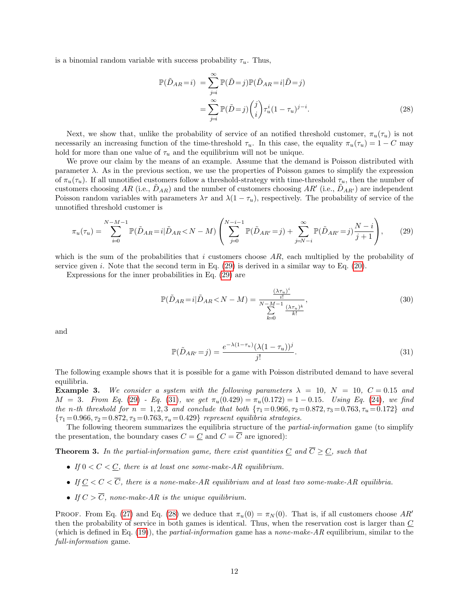is a binomial random variable with success probability  $\tau_u$ . Thus,

<span id="page-11-2"></span>
$$
\mathbb{P}(\tilde{D}_{AR}=i) = \sum_{j=i}^{\infty} \mathbb{P}(\tilde{D}=j) \mathbb{P}(\tilde{D}_{AR}=i|\tilde{D}=j)
$$

$$
= \sum_{j=i}^{\infty} \mathbb{P}(\tilde{D}=j) {j \choose i} \tau_u^i (1-\tau_u)^{j-i}.
$$
(28)

Next, we show that, unlike the probability of service of an notified threshold customer,  $\pi_u(\tau_u)$  is not necessarily an increasing function of the time-threshold  $\tau_u$ . In this case, the equality  $\pi_u(\tau_u) = 1 - C$  may hold for more than one value of  $\tau_u$  and the equilibrium will not be unique.

We prove our claim by the means of an example. Assume that the demand is Poisson distributed with parameter λ. As in the previous section, we use the properties of Poisson games to simplify the expression of  $\pi_u(\tau_u)$ . If all unnotified customers follow a threshold-strategy with time-threshold  $\tau_u$ , then the number of customers choosing AR (i.e.,  $\tilde{D}_{AR}$ ) and the number of customers choosing AR' (i.e.,  $\tilde{D}_{AR'}$ ) are independent Poisson random variables with parameters  $\lambda \tau$  and  $\lambda (1 - \tau_u)$ , respectively. The probability of service of the unnotified threshold customer is

$$
\pi_u(\tau_u) = \sum_{i=0}^{N-M-1} \mathbb{P}(\tilde{D}_{AR} = i | \tilde{D}_{AR} < N - M) \left( \sum_{j=0}^{N-i-1} \mathbb{P}(\tilde{D}_{AR'} = j) + \sum_{j=N-i}^{\infty} \mathbb{P}(\tilde{D}_{AR'} = j) \frac{N-i}{j+1} \right),\tag{29}
$$

which is the sum of the probabilities that i customers choose  $AR$ , each multiplied by the probability of service given i. Note that the second term in Eq.  $(29)$  is derived in a similar way to Eq.  $(20)$ .

Expressions for the inner probabilities in Eq. [\(29\)](#page-11-0) are

<span id="page-11-0"></span>
$$
\mathbb{P}(\tilde{D}_{AR} = i | \tilde{D}_{AR} < N - M) = \frac{\frac{(\lambda \tau_u)^i}{i!}}{N - M - 1} \frac{(\lambda \tau_u)^k}{k!},\tag{30}
$$

and

<span id="page-11-1"></span>
$$
\mathbb{P}(\tilde{D}_{AR'} = j) = \frac{e^{-\lambda(1 - \tau_u)}(\lambda(1 - \tau_u))^j}{j!}.
$$
\n(31)

The following example shows that it is possible for a game with Poisson distributed demand to have several equilibria.

**Example 3.** We consider a system with the following parameters  $\lambda = 10$ ,  $N = 10$ ,  $C = 0.15$  and  $M = 3$ . From Eq. [\(29\)](#page-11-0) - Eq. [\(31\)](#page-11-1), we get  $\pi_u(0.429) = \pi_u(0.172) = 1 - 0.15$ . Using Eq. [\(24\)](#page-9-1), we find the n-th threshold for  $n = 1, 2, 3$  and conclude that both  $\{\tau_1 = 0.966, \tau_2 = 0.872, \tau_3 = 0.763, \tau_u = 0.172\}$  and  ${\tau_1 = 0.966, \tau_2 = 0.872, \tau_3 = 0.763, \tau_u = 0.429}$  represent equilibria strategies.

The following theorem summarizes the equilibria structure of the *partial-information* game (to simplify the presentation, the boundary cases  $C = C$  and  $C = C$  are ignored):

**Theorem 3.** In the partial-information game, there exist quantities  $\underline{C}$  and  $\overline{C} \geq \underline{C}$ , such that

- If  $0 < C < \underline{C}$ , there is at least one some-make-AR equilibrium.
- If  $C < C < \overline{C}$ , there is a none-make-AR equilibrium and at least two some-make-AR equilibria.
- If  $C > \overline{C}$ , none-make-AR is the unique equilibrium.

PROOF. From Eq. [\(27\)](#page-10-2) and Eq. [\(28\)](#page-11-2) we deduce that  $\pi_u(0) = \pi_N(0)$ . That is, if all customers choose AR' then the probability of service in both games is identical. Thus, when the reservation cost is larger than C (which is defined in Eq. [\(19\)](#page-8-1)), the *partial-information* game has a *none-make-AR* equilibrium, similar to the full-information game.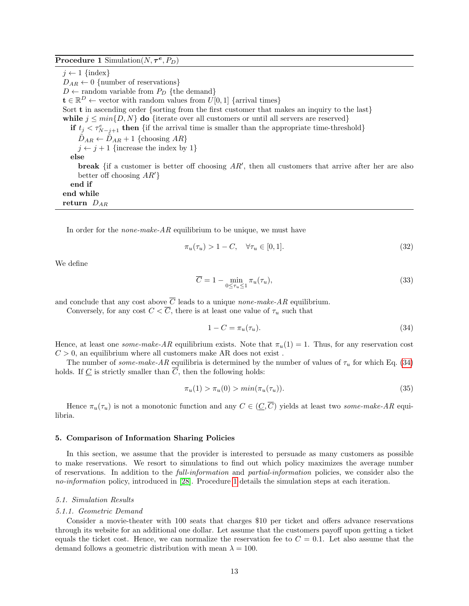<span id="page-12-2"></span>Procedure 1 Simulation $(N, \tau^e, P_D)$ 

 $i \leftarrow 1$  {index}  $D_{AR} \leftarrow 0$  {number of reservations}  $D \leftarrow$  random variable from  $P_D$  {the demand}  $\mathbf{t} \in \mathbb{R}^D \leftarrow$  vector with random values from  $U[0, 1]$  {arrival times} Sort **t** in ascending order {sorting from the first customer that makes an inquiry to the last} while  $j \leq min\{D, N\}$  do {iterate over all customers or until all servers are reserved} if  $t_j < \tau_{N-j+1}^e$  then {if the arrival time is smaller than the appropriate time-threshold}  $D_{AR} \leftarrow D_{AR} + 1$  {choosing AR}  $j \leftarrow j + 1$  {increase the index by 1} else break {if a customer is better off choosing  $AR'$ , then all customers that arrive after her are also better off choosing  $AR'$ } end if end while return  $D_{AR}$ 

In order for the *none-make-AR* equilibrium to be unique, we must have

$$
\pi_u(\tau_u) > 1 - C, \quad \forall \tau_u \in [0, 1]. \tag{32}
$$

We define

$$
\overline{C} = 1 - \min_{0 \le \tau_u \le 1} \pi_u(\tau_u),\tag{33}
$$

and conclude that any cost above  $\overline{C}$  leads to a unique *none-make-AR* equilibrium.

Conversely, for any cost  $C < \overline{C}$ , there is at least one value of  $\tau_u$  such that

<span id="page-12-1"></span>
$$
1 - C = \pi_u(\tau_u). \tag{34}
$$

Hence, at least one *some-make-AR* equilibrium exists. Note that  $\pi_u(1) = 1$ . Thus, for any reservation cost  $C > 0$ , an equilibrium where all customers make AR does not exist.

The number of some-make-AR equilibria is determined by the number of values of  $\tau_u$  for which Eq. [\(34\)](#page-12-1) holds. If C is strictly smaller than  $\overline{C}$ , then the following holds:

$$
\pi_u(1) > \pi_u(0) > \min(\pi_u(\tau_u)).\tag{35}
$$

Hence  $\pi_u(\tau_u)$  is not a monotonic function and any  $C \in (\underline{C}, \overline{C})$  yields at least two some-make-AR equilibria.

# <span id="page-12-0"></span>5. Comparison of Information Sharing Policies

In this section, we assume that the provider is interested to persuade as many customers as possible to make reservations. We resort to simulations to find out which policy maximizes the average number of reservations. In addition to the full-information and partial-information policies, we consider also the no-information policy, introduced in [\[28\]](#page-17-6). Procedure [1](#page-12-2) details the simulation steps at each iteration.

# 5.1. Simulation Results

#### 5.1.1. Geometric Demand

Consider a movie-theater with 100 seats that charges \$10 per ticket and offers advance reservations through its website for an additional one dollar. Let assume that the customers payoff upon getting a ticket equals the ticket cost. Hence, we can normalize the reservation fee to  $C = 0.1$ . Let also assume that the demand follows a geometric distribution with mean  $\lambda = 100$ .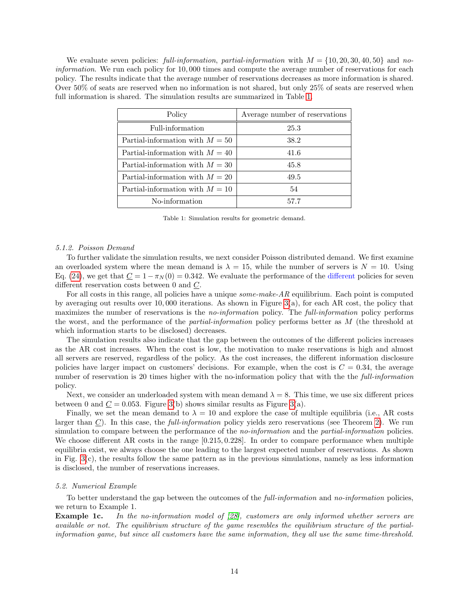<span id="page-13-0"></span>We evaluate seven policies: full-information, partial-information with  $M = \{10, 20, 30, 40, 50\}$  and noinformation. We run each policy for 10, 000 times and compute the average number of reservations for each policy. The results indicate that the average number of reservations decreases as more information is shared. Over 50% of seats are reserved when no information is not shared, but only 25% of seats are reserved when full information is shared. The simulation results are summarized in Table [1.](#page-13-0)

| Policy                            | Average number of reservations |
|-----------------------------------|--------------------------------|
| Full-information                  | 25.3                           |
| Partial-information with $M = 50$ | 38.2                           |
| Partial-information with $M = 40$ | 41.6                           |
| Partial-information with $M = 30$ | 45.8                           |
| Partial-information with $M = 20$ | 49.5                           |
| Partial-information with $M=10$   | 54                             |
| No-information                    | 57 7                           |

Table 1: Simulation results for geometric demand.

#### 5.1.2. Poisson Demand

To further validate the simulation results, we next consider Poisson distributed demand. We first examine an overloaded system where the mean demand is  $\lambda = 15$ , while the number of servers is  $N = 10$ . Using Eq. [\(24\)](#page-9-1), we get that  $\underline{C} = 1 - \pi_N(0) = 0.342$ . We evaluate the performance of the different policies for seven different reservation costs between 0 and  $C$ .

For all costs in this range, all policies have a unique *some-make-AR* equilibrium. Each point is computed by averaging out results over 10,000 iterations. As shown in Figure [3\(](#page-14-1)a), for each AR cost, the policy that maximizes the number of reservations is the no-information policy. The full-information policy performs the worst, and the performance of the partial-information policy performs better as M (the threshold at which information starts to be disclosed) decreases.

The simulation results also indicate that the gap between the outcomes of the different policies increases as the AR cost increases. When the cost is low, the motivation to make reservations is high and almost all servers are reserved, regardless of the policy. As the cost increases, the different information disclosure policies have larger impact on customers' decisions. For example, when the cost is  $C = 0.34$ , the average number of reservation is 20 times higher with the no-information policy that with the the full-information policy.

Next, we consider an underloaded system with mean demand  $\lambda = 8$ . This time, we use six different prices between 0 and  $C = 0.053$ . Figure [3\(](#page-14-1)b) shows similar results as Figure 3(a).

Finally, we set the mean demand to  $\lambda = 10$  and explore the case of multiple equilibria (i.e., AR costs larger than  $C$ ). In this case, the *full-information* policy yields zero reservations (see Theorem [2\)](#page-8-2). We run simulation to compare between the performance of the *no-information* and the *partial-information* policies. We choose different AR costs in the range  $[0.215, 0.228]$ . In order to compare performance when multiple equilibria exist, we always choose the one leading to the largest expected number of reservations. As shown in Fig.  $3(c)$ , the results follow the same pattern as in the previous simulations, namely as less information is disclosed, the number of reservations increases.

#### 5.2. Numerical Example

To better understand the gap between the outcomes of the *full-information* and no-information policies. we return to Example 1.

Example 1c. In the no-information model of [\[28\]](#page-17-6), customers are only informed whether servers are available or not. The equilibrium structure of the game resembles the equilibrium structure of the partialinformation game, but since all customers have the same information, they all use the same time-threshold.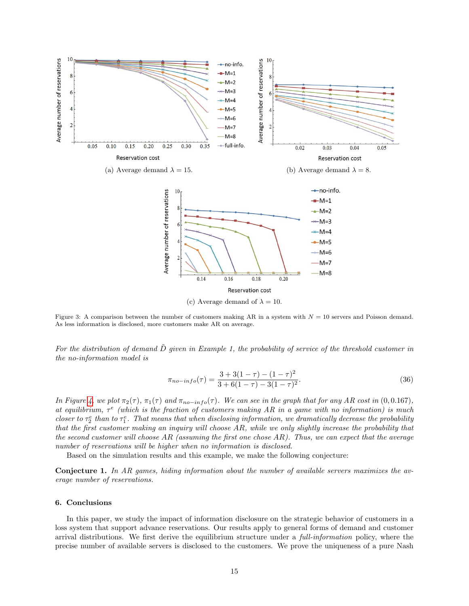<span id="page-14-1"></span>

Figure 3: A comparison between the number of customers making AR in a system with  $N = 10$  servers and Poisson demand. As less information is disclosed, more customers make AR on average.

For the distribution of demand  $\tilde{D}$  given in Example 1, the probability of service of the threshold customer in the no-information model is

$$
\pi_{no-info}(\tau) = \frac{3 + 3(1 - \tau) - (1 - \tau)^2}{3 + 6(1 - \tau) - 3(1 - \tau)^2}.
$$
\n(36)

In Figure [4,](#page-15-0) we plot  $\pi_2(\tau)$ ,  $\pi_1(\tau)$  and  $\pi_{no-info}(\tau)$ . We can see in the graph that for any AR cost in (0,0.167), at equilibrium,  $\tau^e$  (which is the fraction of customers making AR in a game with no information) is much closer to  $\tau_2^e$  than to  $\tau_1^e$ . That means that when disclosing information, we dramatically decrease the probability that the first customer making an inquiry will choose AR, while we only slightly increase the probability that the second customer will choose  $AR$  (assuming the first one chose  $AR$ ). Thus, we can expect that the average number of reservations will be higher when no information is disclosed.

Based on the simulation results and this example, we make the following conjecture:

Conjecture 1. In AR games, hiding information about the number of available servers maximizes the average number of reservations.

#### <span id="page-14-0"></span>6. Conclusions

In this paper, we study the impact of information disclosure on the strategic behavior of customers in a loss system that support advance reservations. Our results apply to general forms of demand and customer arrival distributions. We first derive the equilibrium structure under a full-information policy, where the precise number of available servers is disclosed to the customers. We prove the uniqueness of a pure Nash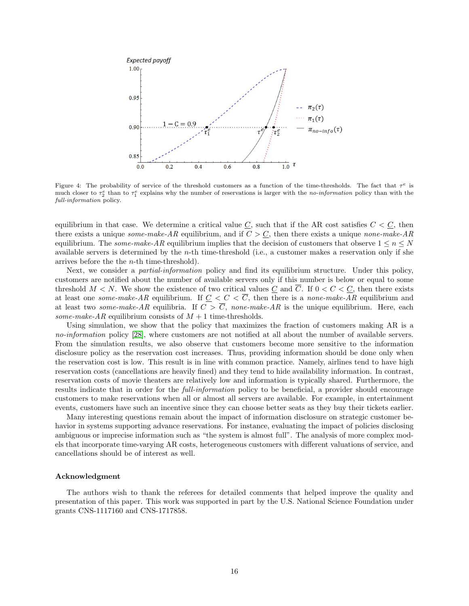<span id="page-15-0"></span>

Figure 4: The probability of service of the threshold customers as a function of the time-thresholds. The fact that  $\tau^e$  is much closer to  $\tau_2^e$  than to  $\tau_1^e$  explains why the number of reservations is larger with the *no-information* policy than with the full-information policy.

equilibrium in that case. We determine a critical value  $C$ , such that if the AR cost satisfies  $C < C$ , then there exists a unique some-make-AR equilibrium, and if  $C > C$ , then there exists a unique none-make-AR equilibrium. The *some-make-AR* equilibrium implies that the decision of customers that observe  $1 \leq n \leq N$ available servers is determined by the  $n$ -th time-threshold (i.e., a customer makes a reservation only if she arrives before the  $n$ -th time-threshold).

Next, we consider a partial-information policy and find its equilibrium structure. Under this policy, customers are notified about the number of available servers only if this number is below or equal to some threshold  $M < N$ . We show the existence of two critical values C and C. If  $0 < C < C$ , then there exists at least one *some-make-AR* equilibrium. If  $C < C < C$ , then there is a *none-make-AR* equilibrium and at least two *some-make-AR* equilibria. If  $C > C$ , none-make-AR is the unique equilibrium. Here, each some-make-AR equilibrium consists of  $M + 1$  time-thresholds.

Using simulation, we show that the policy that maximizes the fraction of customers making AR is a no-information policy [\[28\]](#page-17-6), where customers are not notified at all about the number of available servers. From the simulation results, we also observe that customers become more sensitive to the information disclosure policy as the reservation cost increases. Thus, providing information should be done only when the reservation cost is low. This result is in line with common practice. Namely, airlines tend to have high reservation costs (cancellations are heavily fined) and they tend to hide availability information. In contrast, reservation costs of movie theaters are relatively low and information is typically shared. Furthermore, the results indicate that in order for the full-information policy to be beneficial, a provider should encourage customers to make reservations when all or almost all servers are available. For example, in entertainment events, customers have such an incentive since they can choose better seats as they buy their tickets earlier.

Many interesting questions remain about the impact of information disclosure on strategic customer behavior in systems supporting advance reservations. For instance, evaluating the impact of policies disclosing ambiguous or imprecise information such as "the system is almost full". The analysis of more complex models that incorporate time-varying AR costs, heterogeneous customers with different valuations of service, and cancellations should be of interest as well.

# Acknowledgment

The authors wish to thank the referees for detailed comments that helped improve the quality and presentation of this paper. This work was supported in part by the U.S. National Science Foundation under grants CNS-1117160 and CNS-1717858.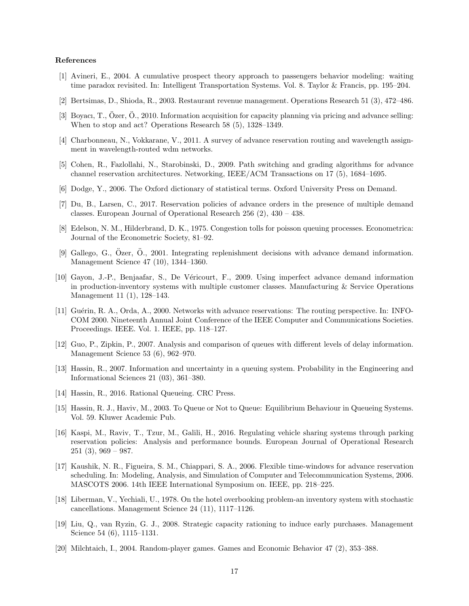#### References

- <span id="page-16-18"></span>[1] Avineri, E., 2004. A cumulative prospect theory approach to passengers behavior modeling: waiting time paradox revisited. In: Intelligent Transportation Systems. Vol. 8. Taylor & Francis, pp. 195–204.
- <span id="page-16-10"></span>[2] Bertsimas, D., Shioda, R., 2003. Restaurant revenue management. Operations Research 51 (3), 472–486.
- <span id="page-16-13"></span>[3] Boyacı, T., Özer, Ö., 2010. Information acquisition for capacity planning via pricing and advance selling: When to stop and act? Operations Research 58 (5), 1328–1349.
- <span id="page-16-8"></span>[4] Charbonneau, N., Vokkarane, V., 2011. A survey of advance reservation routing and wavelength assignment in wavelength-routed wdm networks.
- <span id="page-16-7"></span>[5] Cohen, R., Fazlollahi, N., Starobinski, D., 2009. Path switching and grading algorithms for advance channel reservation architectures. Networking, IEEE/ACM Transactions on 17 (5), 1684–1695.
- <span id="page-16-19"></span>[6] Dodge, Y., 2006. The Oxford dictionary of statistical terms. Oxford University Press on Demand.
- <span id="page-16-14"></span>[7] Du, B., Larsen, C., 2017. Reservation policies of advance orders in the presence of multiple demand classes. European Journal of Operational Research 256 (2), 430 – 438.
- <span id="page-16-0"></span>[8] Edelson, N. M., Hilderbrand, D. K., 1975. Congestion tolls for poisson queuing processes. Econometrica: Journal of the Econometric Society, 81–92.
- <span id="page-16-11"></span>[9] Gallego, G., Ozer, O., 2001. Integrating replenishment decisions with advance demand information. Management Science 47 (10), 1344–1360.
- <span id="page-16-12"></span>[10] Gayon, J.-P., Benjaafar, S., De V´ericourt, F., 2009. Using imperfect advance demand information in production-inventory systems with multiple customer classes. Manufacturing  $\&$  Service Operations Management 11 (1), 128–143.
- <span id="page-16-6"></span>[11] Guérin, R. A., Orda, A., 2000. Networks with advance reservations: The routing perspective. In: INFO-COM 2000. Nineteenth Annual Joint Conference of the IEEE Computer and Communications Societies. Proceedings. IEEE. Vol. 1. IEEE, pp. 118–127.
- <span id="page-16-3"></span>[12] Guo, P., Zipkin, P., 2007. Analysis and comparison of queues with different levels of delay information. Management Science 53 (6), 962–970.
- <span id="page-16-4"></span>[13] Hassin, R., 2007. Information and uncertainty in a queuing system. Probability in the Engineering and Informational Sciences 21 (03), 361–380.
- <span id="page-16-2"></span>[14] Hassin, R., 2016. Rational Queueing. CRC Press.
- <span id="page-16-1"></span>[15] Hassin, R. J., Haviv, M., 2003. To Queue or Not to Queue: Equilibrium Behaviour in Queueing Systems. Vol. 59. Kluwer Academic Pub.
- <span id="page-16-15"></span>[16] Kaspi, M., Raviv, T., Tzur, M., Galili, H., 2016. Regulating vehicle sharing systems through parking reservation policies: Analysis and performance bounds. European Journal of Operational Research  $251$  (3),  $969 - 987$ .
- <span id="page-16-5"></span>[17] Kaushik, N. R., Figueira, S. M., Chiappari, S. A., 2006. Flexible time-windows for advance reservation scheduling. In: Modeling, Analysis, and Simulation of Computer and Telecommunication Systems, 2006. MASCOTS 2006. 14th IEEE International Symposium on. IEEE, pp. 218–225.
- <span id="page-16-9"></span>[18] Liberman, V., Yechiali, U., 1978. On the hotel overbooking problem-an inventory system with stochastic cancellations. Management Science 24 (11), 1117–1126.
- <span id="page-16-17"></span>[19] Liu, Q., van Ryzin, G. J., 2008. Strategic capacity rationing to induce early purchases. Management Science 54 (6), 1115–1131.
- <span id="page-16-16"></span>[20] Milchtaich, I., 2004. Random-player games. Games and Economic Behavior 47 (2), 353–388.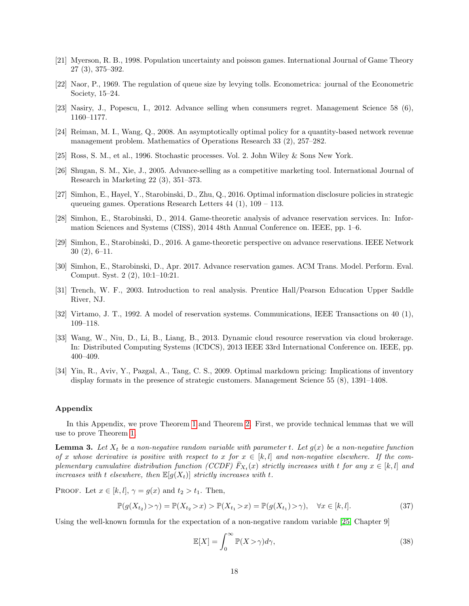- <span id="page-17-11"></span>[21] Myerson, R. B., 1998. Population uncertainty and poisson games. International Journal of Game Theory 27 (3), 375–392.
- <span id="page-17-2"></span>[22] Naor, P., 1969. The regulation of queue size by levying tolls. Econometrica: journal of the Econometric Society, 15–24.
- <span id="page-17-10"></span>[23] Nasiry, J., Popescu, I., 2012. Advance selling when consumers regret. Management Science 58 (6), 1160–1177.
- <span id="page-17-9"></span>[24] Reiman, M. I., Wang, Q., 2008. An asymptotically optimal policy for a quantity-based network revenue management problem. Mathematics of Operations Research 33 (2), 257–282.
- <span id="page-17-13"></span>[25] Ross, S. M., et al., 1996. Stochastic processes. Vol. 2. John Wiley & Sons New York.
- <span id="page-17-1"></span>[26] Shugan, S. M., Xie, J., 2005. Advance-selling as a competitive marketing tool. International Journal of Research in Marketing 22 (3), 351–373.
- <span id="page-17-3"></span>[27] Simhon, E., Hayel, Y., Starobinski, D., Zhu, Q., 2016. Optimal information disclosure policies in strategic queueing games. Operations Research Letters 44 (1), 109 – 113.
- <span id="page-17-6"></span>[28] Simhon, E., Starobinski, D., 2014. Game-theoretic analysis of advance reservation services. In: Information Sciences and Systems (CISS), 2014 48th Annual Conference on. IEEE, pp. 1–6.
- <span id="page-17-7"></span>[29] Simhon, E., Starobinski, D., 2016. A game-theoretic perspective on advance reservations. IEEE Network 30 (2), 6–11.
- <span id="page-17-5"></span>[30] Simhon, E., Starobinski, D., Apr. 2017. Advance reservation games. ACM Trans. Model. Perform. Eval. Comput. Syst. 2 (2), 10:1–10:21.
- <span id="page-17-12"></span>[31] Trench, W. F., 2003. Introduction to real analysis. Prentice Hall/Pearson Education Upper Saddle River, NJ.
- <span id="page-17-8"></span>[32] Virtamo, J. T., 1992. A model of reservation systems. Communications, IEEE Transactions on 40 (1), 109–118.
- <span id="page-17-0"></span>[33] Wang, W., Niu, D., Li, B., Liang, B., 2013. Dynamic cloud resource reservation via cloud brokerage. In: Distributed Computing Systems (ICDCS), 2013 IEEE 33rd International Conference on. IEEE, pp. 400–409.
- <span id="page-17-4"></span>[34] Yin, R., Aviv, Y., Pazgal, A., Tang, C. S., 2009. Optimal markdown pricing: Implications of inventory display formats in the presence of strategic customers. Management Science 55  $(8)$ , 1391–1408.

# Appendix

In this Appendix, we prove Theorem [1](#page-4-0) and Theorem [2.](#page-8-2) First, we provide technical lemmas that we will use to prove Theorem [1.](#page-4-0)

**Lemma 3.** Let  $X_t$  be a non-negative random variable with parameter t. Let  $g(x)$  be a non-negative function of x whose derivative is positive with respect to x for  $x \in [k, l]$  and non-negative elsewhere. If the complementary cumulative distribution function (CCDF)  $\bar{F}_{X_t}(x)$  strictly increases with t for any  $x \in [k, l]$  and increases with t elsewhere, then  $\mathbb{E}[g(X_t)]$  strictly increases with t.

PROOF. Let  $x \in [k, l], \gamma = g(x)$  and  $t_2 > t_1$ . Then,

<span id="page-17-15"></span>
$$
\mathbb{P}(g(X_{t_2}) > \gamma) = \mathbb{P}(X_{t_2} > x) > \mathbb{P}(X_{t_1} > x) = \mathbb{P}(g(X_{t_1}) > \gamma), \quad \forall x \in [k, l].
$$
\n(37)

Using the well-known formula for the expectation of a non-negative random variable [\[25,](#page-17-13) Chapter 9]

<span id="page-17-14"></span>
$$
\mathbb{E}[X] = \int_0^\infty \mathbb{P}(X > \gamma) d\gamma,\tag{38}
$$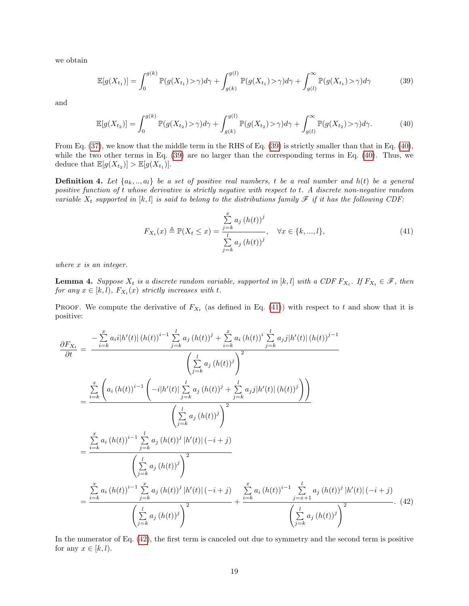we obtain

$$
\mathbb{E}[g(X_{t_1})] = \int_0^{g(k)} \mathbb{P}(g(X_{t_1}) > \gamma) d\gamma + \int_{g(k)}^{g(l)} \mathbb{P}(g(X_{t_1}) > \gamma) d\gamma + \int_{g(l)}^{\infty} \mathbb{P}(g(X_{t_1}) > \gamma) d\gamma \tag{39}
$$

and

$$
\mathbb{E}[g(X_{t_2})] = \int_0^{g(k)} \mathbb{P}(g(X_{t_2}) > \gamma) d\gamma + \int_{g(k)}^{g(l)} \mathbb{P}(g(X_{t_2}) > \gamma) d\gamma + \int_{g(l)}^{\infty} \mathbb{P}(g(X_{t_2}) > \gamma) d\gamma.
$$
 (40)

From Eq. [\(37\)](#page-17-14), we know that the middle term in the RHS of Eq. [\(39\)](#page-18-0) is strictly smaller than that in Eq. [\(40\)](#page-18-1), while the two other terms in Eq. [\(39\)](#page-18-0) are no larger than the corresponding terms in Eq. [\(40\)](#page-18-1). Thus, we deduce that  $\mathbb{E}[g(X_{t_2})] > \mathbb{E}[g(X_{t_1})]$ .

<span id="page-18-4"></span>**Definition 4.** Let  $\{a_k, ..., a_l\}$  be a set of positive real numbers, t be a real number and  $h(t)$  be a general positive function of t whose derivative is strictly negative with respect to t. A discrete non-negative random variable  $X_t$  supported in [k, l] is said to belong to the distributions family  $\mathscr F$  if it has the following CDF:

<span id="page-18-2"></span><span id="page-18-1"></span><span id="page-18-0"></span>
$$
F_{X_t}(x) \triangleq \mathbb{P}(X_t \le x) = \frac{\sum_{j=k}^x a_j (h(t))^j}{\sum_{j=k}^l a_j (h(t))^j}, \quad \forall x \in \{k, ..., l\},
$$
\n(41)

where x is an integer.

<span id="page-18-5"></span>**Lemma 4.** Suppose  $X_t$  is a discrete random variable, supported in [k,l] with a CDF  $F_{X_t}$ . If  $F_{X_t} \in \mathscr{F}$ , then for any  $x \in [k, l)$ ,  $F_{X_t}(x)$  strictly increases with t.

PROOF. We compute the derivative of  $F_{X_t}$  (as defined in Eq. [\(41\)](#page-18-2)) with respect to t and show that it is positive:

$$
\frac{\partial F_{X_t}}{\partial t} = \frac{-\sum_{i=k}^{x} a_i i |h'(t)| (h(t))^{i-1} \sum_{j=k}^{l} a_j (h(t))^{j} + \sum_{i=k}^{x} a_i (h(t))^{i} \sum_{j=k}^{l} a_j j |h'(t)| (h(t))^{j-1}}{\left(\sum_{j=k}^{l} a_j (h(t))^{j}\right)^{2}}
$$
\n
$$
= \frac{\sum_{i=k}^{x} \left(a_i (h(t))^{i-1} \left(-i|h'(t)| \sum_{j=k}^{l} a_j (h(t))^{j} + \sum_{j=k}^{l} a_j j |h'(t)| (h(t))^{j}\right)\right)}{\left(\sum_{j=k}^{l} a_j (h(t))^{j}\right)^{2}}
$$
\n
$$
= \frac{\sum_{i=k}^{x} a_i (h(t))^{i-1} \sum_{j=k}^{l} a_j (h(t))^{j} |h'(t)| (-i+j)}{\left(\sum_{j=k}^{l} a_j (h(t))^{j}\right)^{2}}
$$
\n
$$
= \frac{\sum_{i=k}^{x} a_i (h(t))^{i-1} \sum_{j=k}^{x} a_j (h(t))^{j}}{\left(\sum_{j=k}^{l} a_j (h(t))^{j}\right)^{2}} + \frac{\sum_{i=k}^{x} a_i (h(t))^{i-1} \sum_{j=x+1}^{l} a_j (h(t))^{j} |h'(t)| (-i+j)}{\left(\sum_{j=k}^{l} a_j (h(t))^{j}\right)^{2}} \left(\sum_{j=k}^{l} a_j (h(t))^{j}\right)^{2} \left(\sum_{j=k}^{l} a_j (h(t))^{j}\right)^{2}.
$$
\n(42)

<span id="page-18-3"></span>In the numerator of Eq. [\(42\)](#page-18-3), the first term is canceled out due to symmetry and the second term is positive for any  $x \in [k, l)$ .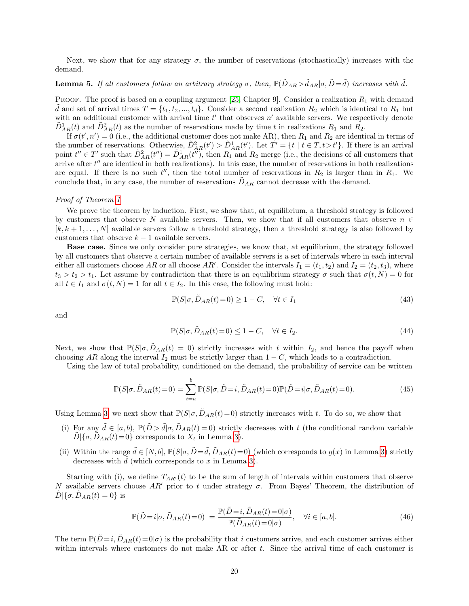<span id="page-19-1"></span>Next, we show that for any strategy  $\sigma$ , the number of reservations (stochastically) increases with the demand.

# **Lemma 5.** If all customers follow an arbitrary strategy  $\sigma$ , then,  $\mathbb{P}(\tilde{D}_{AR} > \tilde{d}_{AR} | \sigma, \tilde{D} = \tilde{d})$  increases with  $\tilde{d}$ .

PROOF. The proof is based on a coupling argument [\[25,](#page-17-13) Chapter 9]. Consider a realization  $R_1$  with demand  $\tilde{d}$  and set of arrival times  $T = \{t_1, t_2, ..., t_d\}$ . Consider a second realization  $R_2$  which is identical to  $R_1$  but with an additional customer with arrival time  $t'$  that observes  $n'$  available servers. We respectively denote  $\tilde{D}_{AR}^1(t)$  and  $\tilde{D}_{AR}^2(t)$  as the number of reservations made by time t in realizations  $R_1$  and  $R_2$ .

If  $\sigma(t', n') = 0$  (i.e., the additional customer does not make AR), then  $R_1$  and  $R_2$  are identical in terms of the number of reservations. Otherwise,  $\tilde{D}_{AR}^2(t') > \tilde{D}_{AR}^1(t')$ . Let  $T' = \{t \mid t \in T, t > t'\}$ . If there is an arrival point  $t'' \in T'$  such that  $\tilde{D}_{AR}^2(t'') = \tilde{D}_{AR}^1(t'')$ , then  $R_1$  and  $R_2$  merge (i.e., the decisions of all customers that arrive after  $t''$  are identical in both realizations). In this case, the number of reservations in both realizations are equal. If there is no such  $t''$ , then the total number of reservations in  $R_2$  is larger than in  $R_1$ . We conclude that, in any case, the number of reservations  $D_{AR}$  cannot decrease with the demand.

## <span id="page-19-0"></span>Proof of Theorem [1](#page-4-0)

We prove the theorem by induction. First, we show that, at equilibrium, a threshold strategy is followed by customers that observe N available servers. Then, we show that if all customers that observe  $n \in$  $[k, k+1, \ldots, N]$  available servers follow a threshold strategy, then a threshold strategy is also followed by customers that observe  $k - 1$  available servers.

Base case. Since we only consider pure strategies, we know that, at equilibrium, the strategy followed by all customers that observe a certain number of available servers is a set of intervals where in each interval either all customers choose AR or all choose AR'. Consider the intervals  $I_1 = (t_1, t_2)$  and  $I_2 = (t_2, t_3)$ , where  $t_3 > t_2 > t_1$ . Let assume by contradiction that there is an equilibrium strategy  $\sigma$  such that  $\sigma(t, N) = 0$  for all  $t \in I_1$  and  $\sigma(t, N) = 1$  for all  $t \in I_2$ . In this case, the following must hold:

$$
\mathbb{P}(S|\sigma, \tilde{D}_{AR}(t) = 0) \ge 1 - C, \quad \forall t \in I_1
$$
\n
$$
(43)
$$

and

$$
\mathbb{P}(S|\sigma, \tilde{D}_{AR}(t) = 0) \le 1 - C, \quad \forall t \in I_2.
$$
\n
$$
(44)
$$

Next, we show that  $\mathbb{P}(S|\sigma, \tilde{D}_{AR}(t) = 0)$  strictly increases with t within  $I_2$ , and hence the payoff when choosing AR along the interval  $I_2$  must be strictly larger than  $1 - C$ , which leads to a contradiction.

Using the law of total probability, conditioned on the demand, the probability of service can be written

$$
\mathbb{P}(S|\sigma, \tilde{D}_{AR}(t) = 0) = \sum_{i=a}^{b} \mathbb{P}(S|\sigma, \tilde{D}=i, \tilde{D}_{AR}(t) = 0)\mathbb{P}(\tilde{D}=i|\sigma, \tilde{D}_{AR}(t) = 0).
$$
\n(45)

Using Lemma [3,](#page-17-15) we next show that  $\mathbb{P}(S|\sigma, \tilde{D}_{AR}(t)=0)$  strictly increases with t. To do so, we show that

- (i) For any  $\tilde{d} \in [a, b)$ ,  $\mathbb{P}(\tilde{D} > \tilde{d} | \sigma, \tilde{D}_{AR}(t) = 0)$  strictly decreases with t (the conditional random variable  $\tilde{D}|\{\sigma, \tilde{D}_{AR}(t)=0\}$  corresponds to  $X_t$  in Lemma [3\)](#page-17-15).
- (ii) Within the range  $\tilde{d} \in [N, b], \mathbb{P}(S | \sigma, \tilde{D} = \tilde{d}, \tilde{D}_{AR}(t) = 0)$  (which corresponds to  $g(x)$  in Lemma [3\)](#page-17-15) strictly decreases with  $d$  (which corresponds to  $x$  in Lemma [3\)](#page-17-15).

Starting with (i), we define  $T_{AR'}(t)$  to be the sum of length of intervals within customers that observe N available servers choose AR' prior to t under strategy  $\sigma$ . From Bayes' Theorem, the distribution of  $D|\{\sigma, D_{AR}(t) = 0\}$  is

$$
\mathbb{P}(\tilde{D}=i|\sigma,\tilde{D}_{AR}(t)=0) = \frac{\mathbb{P}(\tilde{D}=i,\tilde{D}_{AR}(t)=0|\sigma)}{\mathbb{P}(\tilde{D}_{AR}(t)=0|\sigma)}, \quad \forall i \in [a,b].
$$
\n(46)

The term  $\mathbb{P}(D=i, D_{AR}(t)=0|\sigma)$  is the probability that i customers arrive, and each customer arrives either within intervals where customers do not make AR or after t. Since the arrival time of each customer is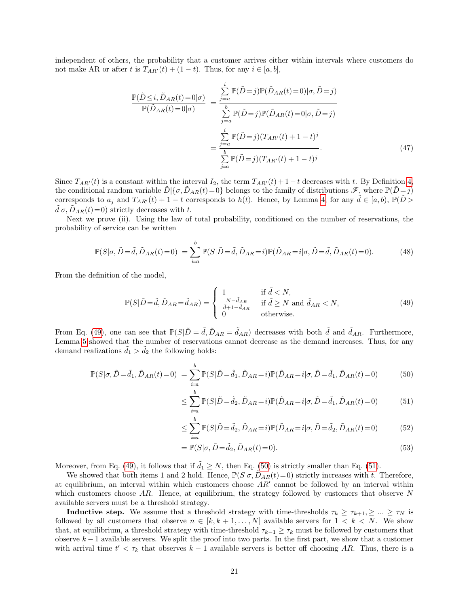independent of others, the probability that a customer arrives either within intervals where customers do not make AR or after t is  $T_{AR'}(t) + (1-t)$ . Thus, for any  $i \in [a, b]$ ,

$$
\frac{\mathbb{P}(\tilde{D} \leq i, \tilde{D}_{AR}(t) = 0 | \sigma)}{\mathbb{P}(\tilde{D}_{AR}(t) = 0 | \sigma)} = \frac{\sum_{j=a}^{i} \mathbb{P}(\tilde{D} = j) \mathbb{P}(\tilde{D}_{AR}(t) = 0) | \sigma, \tilde{D} = j)}{\sum_{j=a}^{b} \mathbb{P}(\tilde{D} = j) \mathbb{P}(\tilde{D}_{AR}(t) = 0 | \sigma, \tilde{D} = j)}
$$
\n
$$
= \frac{\sum_{j=a}^{i} \mathbb{P}(\tilde{D} = j) (T_{AR'}(t) + 1 - t)^j}{\sum_{j=a}^{b} \mathbb{P}(\tilde{D} = j) (T_{AR'}(t) + 1 - t)^j}.
$$
\n(47)

Since  $T_{AR'}(t)$  is a constant within the interval  $I_2$ , the term  $T_{AR'}(t) + 1 - t$  decreases with t. By Definition [4,](#page-18-4) the conditional random variable  $\hat{D}|\{\sigma, D_{AR}(t)=0\}$  belongs to the family of distributions  $\mathscr{F}$ , where  $\mathbb{P}(D=j)$ corresponds to  $a_j$  and  $T_{AR'}(t) + 1 - t$  corresponds to  $h(t)$ . Hence, by Lemma [4,](#page-18-5) for any  $d \in [a, b)$ ,  $\mathbb{P}(D > 0)$  $d|\sigma, D_{AR}(t)=0$  strictly decreases with t.

Next we prove (ii). Using the law of total probability, conditioned on the number of reservations, the probability of service can be written

$$
\mathbb{P}(S|\sigma,\tilde{D}=\tilde{d},\tilde{D}_{AR}(t)=0) = \sum_{i=a}^{b} \mathbb{P}(S|\tilde{D}=\tilde{d},\tilde{D}_{AR}=i)\mathbb{P}(\tilde{D}_{AR}=i|\sigma,\tilde{D}=\tilde{d},\tilde{D}_{AR}(t)=0).
$$
 (48)

From the definition of the model,

$$
\mathbb{P}(S|\tilde{D}=\tilde{d}, \tilde{D}_{AR}=\tilde{d}_{AR}) = \begin{cases} 1 & \text{if } \tilde{d} < N, \\ \frac{N-\tilde{d}_{AR}}{\tilde{d}+1-\tilde{d}_{AR}} & \text{if } \tilde{d} \ge N \text{ and } \tilde{d}_{AR} < N, \\ 0 & \text{otherwise.} \end{cases}
$$
(49)

From Eq. [\(49\)](#page-20-0), one can see that  $\mathbb{P}(S|\tilde{D}=\tilde{d}, \tilde{D}_{AR}=\tilde{d}_{AR})$  decreases with both  $\tilde{d}$  and  $\tilde{d}_{AR}$ . Furthermore, Lemma [5](#page-19-1) showed that the number of reservations cannot decrease as the demand increases. Thus, for any demand realizations  $\ddot{d}_1 > \ddot{d}_2$  the following holds:

$$
\mathbb{P}(S|\sigma, \tilde{D} = \tilde{d}_1, \tilde{D}_{AR}(t) = 0) = \sum_{i=a}^{b} \mathbb{P}(S|\tilde{D} = \tilde{d}_1, \tilde{D}_{AR} = i)\mathbb{P}(\tilde{D}_{AR} = i|\sigma, \tilde{D} = \tilde{d}_1, \tilde{D}_{AR}(t) = 0)
$$
(50)

<span id="page-20-2"></span><span id="page-20-1"></span><span id="page-20-0"></span>
$$
\leq \sum_{i=a}^{b} \mathbb{P}(S|\tilde{D}=\tilde{d}_2, \tilde{D}_{AR}=i) \mathbb{P}(\tilde{D}_{AR}=i|\sigma, \tilde{D}=\tilde{d}_1, \tilde{D}_{AR}(t)=0) \tag{51}
$$

$$
\leq \sum_{i=a}^{b} \mathbb{P}(S|\tilde{D} = \tilde{d}_2, \tilde{D}_{AR} = i) \mathbb{P}(\tilde{D}_{AR} = i|\sigma, \tilde{D} = \tilde{d}_2, \tilde{D}_{AR}(t) = 0)
$$
\n(52)

<span id="page-20-3"></span>
$$
= \mathbb{P}(S|\sigma, \tilde{D} = \tilde{d}_2, \tilde{D}_{AR}(t) = 0).
$$
\n(53)

Moreover, from Eq. [\(49\)](#page-20-0), it follows that if  $d_1 \geq N$ , then Eq. [\(50\)](#page-20-1) is strictly smaller than Eq. [\(51\)](#page-20-2).

We showed that both items 1 and 2 hold. Hence,  $\mathbb{P}(S|\sigma, \tilde{D}_{AR}(t)=0)$  strictly increases with t. Therefore, at equilibrium, an interval within which customers choose  $AR'$  cannot be followed by an interval within which customers choose  $AR$ . Hence, at equilibrium, the strategy followed by customers that observe N available servers must be a threshold strategy.

**Inductive step.** We assume that a threshold strategy with time-thresholds  $\tau_k \geq \tau_{k+1}, \geq ... \geq \tau_N$  is followed by all customers that observe  $n \in [k, k+1, \ldots, N]$  available servers for  $1 \leq k \leq N$ . We show that, at equilibrium, a threshold strategy with time-threshold  $\tau_{k-1} \geq \tau_k$  must be followed by customers that observe  $k-1$  available servers. We split the proof into two parts. In the first part, we show that a customer with arrival time  $t' < \tau_k$  that observes  $k-1$  available servers is better off choosing AR. Thus, there is a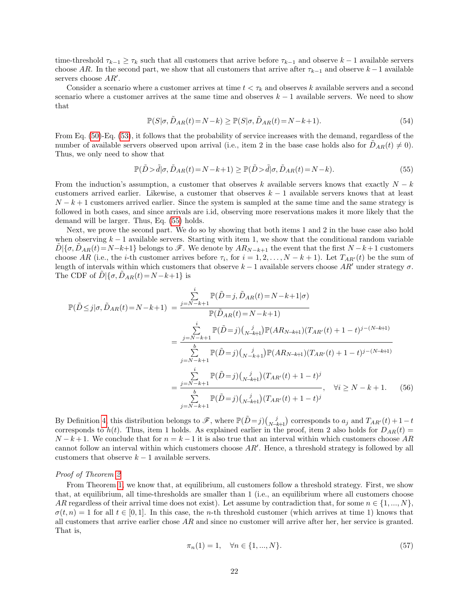time-threshold  $\tau_{k-1} \geq \tau_k$  such that all customers that arrive before  $\tau_{k-1}$  and observe  $k-1$  available servers choose AR. In the second part, we show that all customers that arrive after  $\tau_{k-1}$  and observe  $k-1$  available servers choose  $AR'$ .

Consider a scenario where a customer arrives at time  $t < \tau_k$  and observes k available servers and a second scenario where a customer arrives at the same time and observes  $k - 1$  available servers. We need to show that

<span id="page-21-0"></span>
$$
\mathbb{P}(S|\sigma, \tilde{D}_{AR}(t) = N - k) \ge \mathbb{P}(S|\sigma, \tilde{D}_{AR}(t) = N - k + 1). \tag{54}
$$

From Eq. [\(50\)](#page-20-1)-Eq. [\(53\)](#page-20-3), it follows that the probability of service increases with the demand, regardless of the number of available servers observed upon arrival (i.e., item 2 in the base case holds also for  $D_{AR}(t) \neq 0$ ). Thus, we only need to show that

$$
\mathbb{P}(\tilde{D} > \tilde{d} | \sigma, \tilde{D}_{AR}(t) = N - k + 1) \ge \mathbb{P}(\tilde{D} > \tilde{d} | \sigma, \tilde{D}_{AR}(t) = N - k). \tag{55}
$$

From the induction's assumption, a customer that observes k available servers knows that exactly  $N - k$ customers arrived earlier. Likewise, a customer that observes  $k - 1$  available servers knows that at least  $N - k + 1$  customers arrived earlier. Since the system is sampled at the same time and the same strategy is followed in both cases, and since arrivals are i.id, observing more reservations makes it more likely that the demand will be larger. Thus, Eq. [\(55\)](#page-21-0) holds.

Next, we prove the second part. We do so by showing that both items 1 and 2 in the base case also hold when observing  $k - 1$  available servers. Starting with item 1, we show that the conditional random variable  $D\{\sigma, D_{AR}(t)=N-k+1\}$  belongs to  $\mathscr F$ . We denote by  $AR_{N-k+1}$  the event that the first  $N-k+1$  customers choose AR (i.e., the *i*-th customer arrives before  $\tau_i$ , for  $i = 1, 2, ..., N - k + 1$ ). Let  $T_{AR'}(t)$  be the sum of length of intervals within which customers that observe  $k-1$  available servers choose  $AR'$  under strategy  $\sigma$ . The CDF of  $D|\{\sigma, D_{AR}(t)=N-k+1\}$  is

$$
\mathbb{P}(\tilde{D} \leq j | \sigma, \tilde{D}_{AR}(t) = N - k + 1) = \frac{\sum_{j=N-k+1}^{i} \mathbb{P}(\tilde{D} = j, \tilde{D}_{AR}(t) = N - k + 1 | \sigma)}{\mathbb{P}(\tilde{D}_{AR}(t) = N - k + 1)}
$$
  
\n
$$
= \frac{\sum_{j=N-k+1}^{i} \mathbb{P}(\tilde{D} = j) \binom{j}{N-k+1} \mathbb{P}(AR_{N-k+1}) (T_{AR'}(t) + 1 - t)^{j - (N-k+1)}}{\sum_{j=N-k+1}^{b} \mathbb{P}(\tilde{D} = j) \binom{j}{N-k+1} \mathbb{P}(AR_{N-k+1}) (T_{AR'}(t) + 1 - t)^{j - (N-k+1)}}
$$
  
\n
$$
= \frac{\sum_{j=N-k+1}^{i} \mathbb{P}(\tilde{D} = j) \binom{j}{N-k+1} (T_{AR'}(t) + 1 - t)^{j}}{\sum_{j=N-k+1}^{b} \mathbb{P}(\tilde{D} = j) \binom{j}{N-k+1} (T_{AR'}(t) + 1 - t)^{j}}, \quad \forall i \geq N - k + 1. \tag{56}
$$

By Definition [4,](#page-18-4) this distribution belongs to  $\mathscr{F}$ , where  $\mathbb{P}(\tilde{D}=j) \binom{j}{N-k+1}$  corresponds to  $a_j$  and  $T_{AR'}(t) + 1-t$ corresponds to  $h(t)$ . Thus, item 1 holds. As explained earlier in the proof, item 2 also holds for  $D_{AR}(t)$  =  $N-k+1$ . We conclude that for  $n=k-1$  it is also true that an interval within which customers choose AR cannot follow an interval within which customers choose  $AR'$ . Hence, a threshold strategy is followed by all customers that observe  $k - 1$  available servers.

# Proof of Theorem [2](#page-8-2)

From Theorem [1,](#page-4-0) we know that, at equilibrium, all customers follow a threshold strategy. First, we show that, at equilibrium, all time-thresholds are smaller than 1 (i.e., an equilibrium where all customers choose AR regardless of their arrival time does not exist). Let assume by contradiction that, for some  $n \in \{1, ..., N\}$ ,  $\sigma(t, n) = 1$  for all  $t \in [0, 1]$ . In this case, the *n*-th threshold customer (which arrives at time 1) knows that all customers that arrive earlier chose  $AR$  and since no customer will arrive after her, her service is granted. That is,

$$
\pi_n(1) = 1, \quad \forall n \in \{1, ..., N\}.
$$
\n(57)